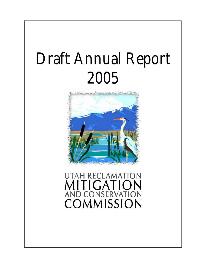# Draft Annual Report 2005



## **UTAH RECLAMATION** MITIGATION AND CONSERVATION COMMISSION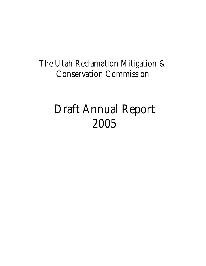The Utah Reclamation Mitigation & Conservation Commission

## Draft Annual Report 2005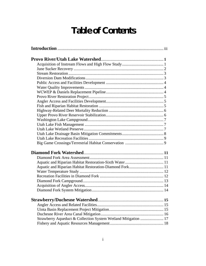## **Table of Contents**

| Aquatic and Riparian Habitat Restoration-Diamond Fork 11       |  |
|----------------------------------------------------------------|--|
|                                                                |  |
|                                                                |  |
|                                                                |  |
|                                                                |  |
|                                                                |  |
|                                                                |  |
|                                                                |  |
|                                                                |  |
|                                                                |  |
| Strawberry Aqueduct & Collection System Wetland Mitigation  17 |  |
|                                                                |  |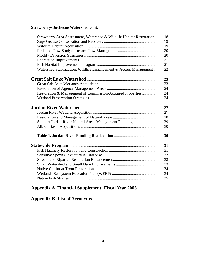### **Strawberry/Duchesne Watershed cont**.

| Strawberry Area Assessment, Watershed & Wildlife Habitat Restoration  18 |  |
|--------------------------------------------------------------------------|--|
|                                                                          |  |
|                                                                          |  |
|                                                                          |  |
|                                                                          |  |
|                                                                          |  |
|                                                                          |  |
| Watershed Stabilization, Wildlife Enhancement & Access Management 22     |  |
|                                                                          |  |
|                                                                          |  |
|                                                                          |  |
| Restoration & Management of Commission-Acquired Properties  24           |  |
|                                                                          |  |
|                                                                          |  |
|                                                                          |  |
|                                                                          |  |
|                                                                          |  |
|                                                                          |  |
|                                                                          |  |
|                                                                          |  |
|                                                                          |  |
|                                                                          |  |
|                                                                          |  |
|                                                                          |  |
|                                                                          |  |
|                                                                          |  |
|                                                                          |  |
|                                                                          |  |

## **Appendix A Financial Supplement: Fiscal Year 2005**

### **Appendix B List of Acronyms**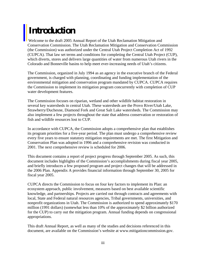## **Introduction**

Welcome to the draft 2005 Annual Report of the Utah Reclamation Mitigation and Conservation Commission. The Utah Reclamation Mitigation and Conservation Commission (the Commission) was authorized under the Central Utah Project Completion Act of 1992 (CUPCA). That law set terms and conditions for completing the Central Utah Project (CUP), which diverts, stores and delivers large quantities of water from numerous Utah rivers in the Colorado and Bonneville basins to help meet ever-increasing needs of Utah's citizens.

The Commission, organized in July 1994 as an agency in the executive branch of the Federal government, is charged with planning, coordinating and funding implementation of the environmental mitigation and conservation program mandated by CUPCA. CUPCA requires the Commission to implement its mitigation program concurrently with completion of CUP water development features.

The Commission focuses on riparian, wetland and other wildlife habitat restoration in several key watersheds in central Utah. These watersheds are the Provo River/Utah Lake, Strawberry/Duchesne, Diamond Fork and Great Salt Lake watersheds. The Commission may also implement a few projects throughout the state that address conservation or restoration of fish and wildlife resources lost to CUP.

In accordance with CUPCA, the Commission adopts a comprehensive plan that establishes its program priorities for a five-year period. The plan must undergo a comprehensive review every five years to ensure statutory mitigation requirements are met. The first Mitigation and Conservation Plan was adopted in 1996 and a comprehensive revision was conducted in 2001. The next comprehensive review is scheduled for 2006.

This document contains a report of project progress through September 2005. As such, this document includes highlights of the Commission's accomplishments during fiscal year 2005, and briefly introduces a few proposed program and project changes that will be addressed in the 2006 Plan. Appendix A provides financial information through September 30, 2005 for fiscal year 2005.

CUPCA directs the Commission to focus on four key factors to implement its Plan: an ecosystem approach, public involvement, measures based on best available scientific knowledge, and partnerships. Projects are carried out through contracts and agreements with local, State and Federal natural resources agencies, Tribal governments, universities, and nonprofit organizations in Utah. The Commission is authorized to spend approximately \$170 million (1991 dollars) (somewhat less than 10% of the approximately \$2 billion authorized for the CUP) to carry out the mitigation program. Annual funding depends on congressional appropriations.

This draft Annual Report, as well as many of the studies and decisions referenced in this document, are available on the Commission's website at www.mitigationcommission.gov.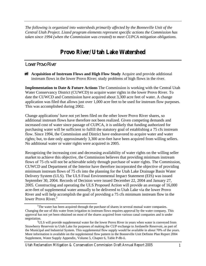*The following is organized into watersheds primarily affected by the Bonneville Unit of the Central Utah Project. Listed program elements represent specific actions the Commission has taken since 1994 (when the Commission was created) to meet CUPCA mitigation obligations.* 

## **Provo River/Utah Lake Watershed**

#### *Lower Provo River*

**Acquisition of Instream Flows and High Flow Study** Acquire and provide additional instream flows in the lower Provo River; study problems of high flows in the river.

**Implementation to Date & Future Actions** The Commission is working with the Central Utah Water Conservancy District (CUWCD) to acquire water rights in the lower Provo River. To date the CUWCD and Commission have acquired about 3,300 acre feet of water. A change application was filed that allows just over 1,000 acre feet to be used for instream flow purposes. This was accomplished during 2002.

Change applications<sup>1</sup> have not yet been filed on the other lower Provo River shares, so additional instream flows have therefore not been realized. Given competing demands and increased cost of water since passage of CUPCA, it is unlikely that funding authorized for purchasing water will be sufficient to fulfill the statutory goal of establishing a 75 cfs instream flow. Since 1994, the Commission and District have endeavored to acquire water and water rights; but, to date only approximately 3,300 acre-feet have been acquired from willing sellers. No additional water or water rights were acquired in 2005.

Recognizing the increasing cost and decreasing availability of water rights on the willing seller market to achieve this objective, the Commission believes that providing minimum instream flows of 75 cfs will not be achievable solely through purchase of water rights. The Commission, CUWCD and Department of the Interior have therefore incorporated the objective of providing minimum instream flows of 75 cfs into the planning for the Utah Lake Drainage Basin Water Delivery System (ULS). The ULS Final Environmental Impact Statement (EIS) was issued September 30, 2004. Records of Decision were issued December 22, 2004 and January 27, 2005. Constructing and operating the ULS Proposed Action will provide an average of 16,000 acre-feet of supplemental water annually to be delivered to Utah Lake via the lower Provo River and will help accomplish the goal of providing a 75 cfs minimum instream flow in the lower Provo River.<sup>2</sup>

Utah Reclamation Mitigation & Conservation Commission Draft Annual Report 2005 1

<sup>&</sup>lt;sup>1</sup>The water has been acquired through the purchase of shares in several mutual water companies. Changing the use of this water from irrigation to instream flows requires approval by the water company. This approval has not yet been obtained on most of the shares acquired from various canal companies and is under negotiation. 2

 $^{2}$ ULS will provide supplemental water for the lower Provo River in years when water is conveyed from Strawberry Reservoir to Utah Lake for purposes of making the CUP exchange to Jordanelle Reservoir, as part of the Municipal and Industrial System. This supplemental flow supply would be available in about 70% of the years. More information is available on the supplemental flow pattern in the Bonneville Unit Definite Plan Report 2004 Supplement, Water Supply Appendix, Volume 5, Chapter 6, Table P-8b-ii.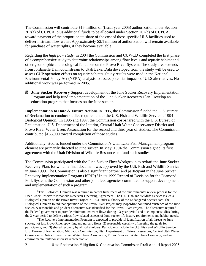The Commission will contribute \$15 million of (fiscal year 2005) authorization under Section 302(a) of CUPCA, plus additional funds to be allocated under Section 202(c) of CUPCA, toward payment of the proportionate share of the cost of those specific ULS facilities used to deliver instream flow water. Approximately \$2.1 million of authorization will remain available for purchase of water rights, if they become available.

Regarding the *high flow study*, in 2004 the Commission and CUWCD completed the first phase of a comprehensive study to determine relationships among flow levels and aquatic habitat and other geomorphic and ecological functions on the Provo River System. The study area extends from Jordanelle Dam downstream to Utah Lake. Data developed from the study will be used to assess CUP operation effects on aquatic habitats. Study results were used in the National Environmental Policy Act (NEPA) analysis to assess potential impacts of ULS alternatives. No additional work was performed in 2005.

**June Sucker Recovery** Support development of the June Sucker Recovery Implementation Program and help fund implementation of the June Sucker Recovery Plan. Develop an education program that focuses on the June sucker.

**Implementation to Date & Future Actions** In 1995, the Commission funded the U.S. Bureau of Reclamation to conduct studies required under the U.S. Fish and Wildlife Service's 1994 Biological Opinion.<sup>3</sup> In 1996 and 1997, the Commission cost-shared with the U.S. Bureau of Reclamation, U.S. Department of the Interior, Central Utah Water Conservancy District and Provo River Water Users Association for the second and third year of studies. The Commission contributed \$166,000 toward completion of those studies.

Additionally, studies funded under the Commission's Utah Lake Fish Management program element are primarily directed at June sucker. In May, 1994 the Commission signed its first agreement with the Utah Division of Wildlife Resources to fund such studies.

The Commission participated with the June Sucker Flow Workgroup to redraft the June Sucker Recovery Plan, for which a final document was approved by the U.S. Fish and Wildlife Service in June 1999. The Commission is also a significant partner and participant in the June Sucker Recovery Implementation Program (JSRIP).<sup>4</sup> In its 1999 Record of Decision for the Diamond Fork System, the Commission and other joint lead agencies committed to support development and implementation of such a program.

 $T$ The Recovery Implementation Program is expected to provide 1) identification of all threats to June sucker, not just Provo River spawning and nursery flows; 2) reasonable certainty of meeting the goals for participants; and, 3) shared recovery by all stakeholders. Participants include the U.S. Fish and Wildlife Service, U.S. Bureau of Reclamation, Mitigation Commission, Utah Department of Natural Resources, Central Utah Water Conservancy District, Provo River Water Users Association, Provo Reservoir Water Users Company, and an environmental/outdoor interests representative.

<sup>&</sup>lt;sup>3</sup>This Biological Opinion was required in partial fulfillment of the environmental review process for the Deer Creek Reservoir/Jordanelle Reservoir Operating Agreement. The U.S. Fish and Wildlife Service issued a Biological Opinion on the Provo River Project in 1994 under authority of the Endangered Species Act. The Biological Opinion found that operation of the Provo River Project may jeopardize continued existence of the June sucker. A reasonable and prudent alternative was identified for the Provo River Project. The alternative required the Federal government to provide minimum instream flows during a 3-year period and to complete studies during the 3-year period to define various flow-related aspects of June sucker life history requirements and habitat needs. 4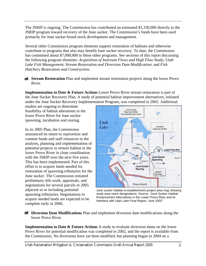The JSRIP is ongoing. The Commission has contributed an estimated \$1,330,000 directly to the JSRIP program toward recovery of the June sucker. The Commission's funds have been used primarily for June sucker brood stock development and management.

Several other Commission program elements support restoration of habitats and otherwise contribute to programs that also may benefit June sucker recovery. To date, the Commission has committed about \$7,000,000 to these other programs. See sections of this report discussing the following program elements: *Acquisition of Instream Flows and High Flow Study*; *Utah Lake Fish Management*; *Stream Restoration and Diversion Dam Modification*; and *Fish Hatchery Restoration and Construction*.

**Stream Restoration** Plan and implement stream restoration projects along the lower Provo River.

**Implementation to Date & Future Actions** Lower Provo River stream restoration is part of the June Sucker Recovery Plan. A study of potential habitat improvement alternatives, initiated under the June Sucker Recovery Implementation Program, was completed in 2002. Additional

studies are ongoing to determine feasibility of habitat alterations in the lower Provo River for June sucker spawning, incubation and rearing.

In its 2005 Plan, the Commission announced its intent to reprioritize and commit funds and staff resources to the analysis, planning and implementation of potential projects to restore habitat in the lower Provo River in close coordination with the JSRIP over the next five years. This has been implemented. Part of this effort is to acquire lands needed for restoration of spawning tributaries for the June sucker. The Commission initiated preliminary title work, appraisals, and negotiations for several parcels in 2005 adjacent to or including potential spawning tributaries. Negotiations to acquire needed lands are expected to be complete early in 2006.



June sucker habitat re-establishment project area map showing study area reach designations. Source: "June Sucker Habitat Enhancement Alternatives in the Lower Provo River and its Interface with Utah Lake Final Report, June 2002"

 $\frac{1}{2}$  is  $\frac{1}{2}$ **Diversion Dam Modifications** Plan and implement diversion dam modifications along the lower Provo River.

**Implementation to Date & Future Actions** A study to evaluate diversion dams on the lower Provo River for potential modification was completed in 2002, and the report is available from the Commission. No diversions have yet been modified, but planning began in 2004 on a

Utah Reclamation Mitigation & Conservation Commission Draft Annual Report 2005 3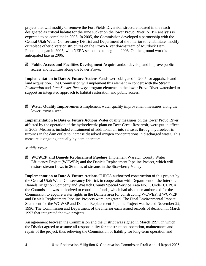project that will modify or remove the Fort Fields Diversion structure located in the reach designated as critical habitat for the June sucker on the lower Provo River. NEPA analysis is expected to be complete in 2006. In 2005, the Commission developed a partnership with the Central Utah Water Conservancy District and Department of the Interior to rehabilitate, modify or replace other diversion structures on the Provo River downstream of Murdock Dam. Planning began in 2005, with NEPA scheduled to begin in 2006. On the ground work is anticipated late in 2006.



**Implementation to Date & Future Actions** Funds were obligated in 2005 for appraisals and land acquisition. The Commission will implement this element in concert with the *Stream Restoration* and *June Sucker Recovery* program elements in the lower Provo River watershed to support an integrated approach to habitat restoration and public access.

**Water Quality Improvements** Implement water quality improvement measures along the lower Provo River.

**Implementation to Date & Future Actions** Water quality measures on the lower Provo River, affected by the operation of the hydroelectric plant on Deer Creek Reservoir, were put in effect in 2003. Measures included entrainment of additional air into releases through hydroelectric turbines in the dam outlet to increase dissolved oxygen concentrations in discharged water. This measure is ongoing annually by dam operators.

#### *Middle Provo*

**WCWEP and Daniels Replacement Pipeline** Implement Wasatch County Water Efficiency Project (WCWEP) and the Daniels Replacement Pipeline Project, which will restore stream flows in 26 miles of streams in the Strawberry Valley.

**Implementation to Date & Future Actions** CUPCA authorized construction of this project by the Central Utah Water Conservancy District, in cooperation with Department of the Interior, Daniels Irrigation Company and Wasatch County Special Service Area No. 1. Under CUPCA, the Commission was authorized to contribute funds, which had also been authorized for the Commission to acquire water rights in the Daniels area for constructing WCWEP, if WCWEP and Daniels Replacement Pipeline Projects were integrated. The Final Environmental Impact Statement for the WCWEP and Daniels Replacement Pipeline Project was issued November 22, 1996. The Commission and Department of the Interior each issued records of decision in March 1997 that integrated the two projects.

An agreement between the Commission and the District was signed in March 1997, in which the District agreed to assume all responsibility for construction, operation, maintenance and repair of the project, thus relieving the Commission of liability for long-term operation and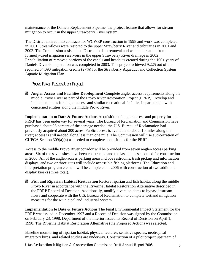maintenance of the Daniels Replacement Pipeline, the project feature that allows for stream mitigation to occur in the upper Strawberry River system.

The District entered into contracts for WCWEP construction in 1998 and work was completed in 2001. Streamflows were restored to the upper Strawberry River and tributaries in 2001 and 2002. The Commission assisted the District in dam removal and wetland creation from formerly-used irrigation reservoirs in the upper Strawberry River drainage in 2002. Rehabilitation of removed portions of the canals and headcuts created during the 100+ years of Daniels Diversion operation was completed in 2003. This project achieved 9,225 out of the required 34,090 mitigation credits (27%) for the Strawberry Aqueduct and Collection System Aquatic Mitigation Plan.

### *Provo River Restoration Project*

**Angler Access and Facilities Development** Complete angler access requirements along the middle Provo River as part of the Provo River Restoration Project (PRRP). Develop and implement plans for angler access and similar recreational facilities in partnership with concerned entities along the middle Provo River.

**Implementation to Date & Future Actions** Acquisition of angler access and property for the PRRP has been underway for several years. The Bureau of Reclamation and Commission have purchased about 95 percent of the acreage needed; the U.S. Bureau of Reclamation had previously acquired about 200 acres. Public access is available to about 10 miles along the river; access is still needed along less than one mile. The Commission will use authorization of CUPCA Section 309(a)(4) as needed to complete acquisitions for the PRRP.

Access to the middle Provo River corridor will be provided from seven angler-access parking areas. Six of the seven sites have been constructed and the last site is scheduled for construction in 2006. All of the angler-access parking areas include restrooms, trash pickup and information displays, and two or three sites will include accessible fishing platforms. The Education and Interpretation program element will be completed in 2006 with construction of two additional display kiosks (three total).

**Fish and Riparian Habitat Restoration** Restore riparian and fish habitat along the middle Provo River in accordance with the Riverine Habitat Restoration Alternative described in the PRRP Record of Decision. Additionally, modify diversion dams to bypass instream flows and cooperate with the U.S. Bureau of Reclamation to complete wetland mitigation measures for the Municipal and Industrial System.

**Implementation to Date & Future Actions** The Final Environmental Impact Statement for the PRRP was issued in December 1997 and a Record of Decision was signed by the Commission on February 23, 1998. Department of the Interior issued its Record of Decision on April 1, 1998. The Riverine Habitat Restoration Alternative (the Proposed Action) was selected.

Baseline monitoring of riparian habitat, physical features, sensitive species, neotropical migratory birds, and related studies are underway. Construction of a pilot project upstream of

Utah Reclamation Mitigation & Conservation Commission Draft Annual Report 2005 5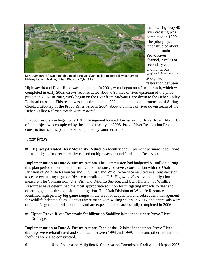

the new Highway 40 river crossing was completed in 1999. The pilot project reconstructed about a mile of main Provo River channel, 2 miles of secondary channel, and numerous wetland features. In 2000, river restoration between

May 2005 runoff flows through a middle Provo River section restored downstream of Midway Lane in Midway, Utah. Photo by Tyler Allred.

Highway 40 and River Road was completed. In 2001, work began on a 2-mile reach, which was completed in early 2002. Crews reconstructed about 0.9 miles of river upstream of the pilot project in 2002. In 2003, work began on the river from Midway Lane down to the Heber Valley Railroad crossing. This reach was completed late in 2004 and included the extension of Spring Creek, a tributary of the Provo River. Also in 2004, about 0.5 miles of river downstream of the Heber Valley Railroad trestle were restored.

In 2005, restoration began on a 1 ¾ mile segment located downstream of River Road. About 1/2 of the project was completed by the end of fiscal year 2005. Provo River Restoration Project construction is anticipated to be completed by summer, 2007.

### *Upper Provo*

**Highway-Related Deer Mortality Reduction** Identify and implement permanent solutions to mitigate for deer mortality caused on highways around Jordanelle Reservoir.

**Implementation to Date & Future Actions** The Commission had budgeted \$1 million during this plan period to complete this mitigation measure; however, consultation with the Utah Division of Wildlife Resources and U. S. Fish and Wildlife Service resulted in a joint decision to cease evaluating at-grade "deer crosswalks" on U.S. Highway 40 as a viable mitigation measure. The Commission, U.S. Fish and Wildlife Service, and Utah Division of Wildlife Resources have determined the most appropriate solution for mitigating impacts to deer and other big game is through off-site mitigation. The Utah Division of Wildlife Resources identified high priority big game ranges in the area for acquisition and subsequent management for wildlife habitat values. Contacts were made with willing sellers in 2005, and appraisals were ordered. Negotiations will continue and are expected to be successfully completed in 2006.

**Upper Provo River Reservoir Stabilization** Stabilize lakes in the upper Provo River Drainage.

**Implementation to Date & Future Actions** Each of the 12 lakes in the upper Provo River drainage were rehabilitated and stabilized between 1994 and 1999. Trails and other recreational facilities were also constructed.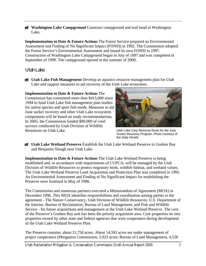**Washington Lake Campground Construct campground and trail head at Washington** Lake.

**Implementation to Date & Future Actions** The Forest Service prepared an Environmental Assessment and Finding of No Significant Impact (FONSI) in 1992. The Commission adopted the Forest Service's Environmental Assessment and issued its own FONSI in 1997. Construction of Washington Lake Campground began in July of 1997 and was completed in September of 1999. The campground opened in the summer of 2000.

### *Utah Lake*

**Utah Lake Fish Management** Develop an aquatics resource management plan for Utah Lake and support measures to aid recovery of the Utah Lake ecosystem.

#### **Implementation to Date & Future Actions** The

Commission has committed more than \$415,000 since 1994 to fund Utah Lake fish management plan studies for native species and sport fish needs. Measures to aid June sucker recovery and other Utah Lake ecosystem components will be based on study recommendations. In 2005, the Commission funded \$90,000 of creel surveys conducted by Utah Division of Wildlife Resources on Utah Lake.



Utah Lake Carp Removal Study for the June Sucker Recovery Program. Photo courtesy of the *Daily Herald*.

**Utah Lake Wetland Preserve** Establish the Utah Lake Wetland Preserve in Goshen Bay and Benjamin Slough near Utah Lake.

**Implementation to Date & Future Actions** The Utah Lake Wetland Preserve is being established and, in accordance with requirements of CUPCA, will be managed by the Utah Division of Wildlife Resources to protect migratory birds, wildlife habitat, and wetland values. The Utah Lake Wetland Preserve Land Acquisition and Protection Plan was completed in 1995. An Environmental Assessment and Finding of No Significant Impact for establishing the Preserve were finalized in May of 1996.

The Commission and numerous partners executed a Memorandum of Agreement (MOA) in December 1996. This MOA identifies responsibilities and coordination among parties to the agreement - The Nature Conservancy, Utah Division of Wildlife Resources, U.S. Department of the Interior, Bureau of Reclamation, Bureau of Land Management, and Fish and Wildlife Service - for future acquisitions and management at the Utah Lake Wetland Preserve. The core of the Preserve's Goshen Bay unit has been the priority acquisition area. Core properties tie into properties owned by other state and federal agencies that were cooperators during development of the Utah Lake Wetland Preserve Plan.

The Preserve contains about 21,750 acres. About 14,592 acres are under management of project cooperators (Mitigation Commission, 5,923 acres; Bureau of Land Management, 4,150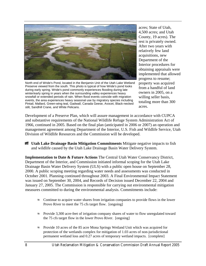

North end of Wride's Pond, located in the Benjamin Unit of the Utah Lake Wetland Preserve viewed from the south. This photo is typical of how Wride's pond looks during early spring. Wride's pond commonly experiences flooding during late winter/early spring in years when the surrounding valley experiences heavy snowfall or extended periods of rain. When flood events coincide with migration events, the area experiences heavy seasonal use by migratory species including Pintail, Mallard, Green-wing teal, Gadwall, Canada Geese, Avocet, Black-necked stilt, Sandhill Crane, and White Pelicans.

acres; State of Utah, 4,500 acres; and Utah County, 19 acres). The rest is privately owned. After two years with relatively few land acquisitions, new Department of the Interior procedures for obtaining appraisals were implemented that allowed progress to resume; property was acquired from a handful of land owners in 2005, on a willing seller basis, totaling more than 300 acres.

Development of a Preserve Plan, which will assure management in accordance with CUPCA and substantive requirements of the National Wildlife Refuge System Administration Act of 1966, continued in 2005. Based on the final plan (anticipated in 2006 or 2007) an operation and management agreement among Department of the Interior, U.S. Fish and Wildlife Service, Utah Division of Wildlife Resources and the Commission will be developed.

**Utah Lake Drainage Basin Mitigation Commitments** Mitigate negative impacts to fish and wildlife caused by the Utah Lake Drainage Basin Water Delivery System.

**Implementation to Date & Future Actions** The Central Utah Water Conservancy District, Department of the Interior, and Commission initiated informal scoping for the Utah Lake Drainage Basin Water Delivery System (ULS) with a public open house on September 28, 2000. A public scoping meeting regarding water needs and assessments was conducted in October 2001. Planning continued throughout 2003. A Final Environmental Impact Statement was issued on September 30, 2004, and Records of Decision issued December 22, 2004 and January 27, 2005. The Commission is responsible for carrying out environmental mitigation measures committed to during the environmental analysis. Commitments include:

- $\approx$  Continue to acquire water shares from irrigation companies to provide flows in the lower Provo River to meet the 75 cfs target flow. [ongoing]
- ≈ Provide 3,300 acre-feet of irrigation company shares of water to flow unregulated toward the 75 cfs target flow in the lower Provo River. [ongoing]
- ≈ Provide 10 acres of the 85 acre Mona Springs Wetland Unit which was acquired for protection of the wetlands complex for mitigation of 1.03 acres of non-jurisdictional permanent wetland loss and 0.27 acres of temporary wetland impacts. [complete]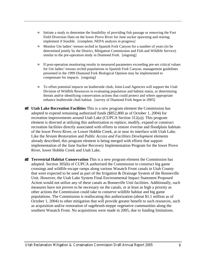- $\approx$  Initiate a study to determine the feasibility of providing fish passage or removing the Fort Field Diversion Dam on the lower Provo River for June sucker spawning and rearing; implement if feasible. [complete; NEPA analysis in progress]
- ≈ Monitor Ute ladies'-tresses orchid in Spanish Fork Canyon for a number of years (to be determined jointly by the District, Mitigation Commission and Fish and Wildlife Service) similar to the pre-operation study in Diamond Fork. [ongoing]
- $\approx$  If post-operation monitoring results in measured parameters exceeding pre-set critical values for Ute ladies'-tresses orchid populations in Spanish Fork Canyon, management guidelines presented in the 1999 Diamond Fork Biological Opinion may be implemented to compensate for impacts. [ongoing]
- ≈ To offset potential impacts on leatherside chub, Joint-Lead Agencies will support the Utah Division of Wildlife Resources in evaluating population and habitat status, or determining threats and/or identifying conservation actions that could protect and where appropriate enhance leatherside chub habitat. [survey of Diamond Fork began in 2005]

**Utah Lake Recreation Facilities** This is a new program element the Commission has adopted to expend remaining authorized funds (\$852,800 as of October 1, 2004) for recreation improvements around Utah Lake (CUPCA Section 312(a)). This program element is directed at utilizing this authorization to replace, modify, expand or construct recreation facilities directly associated with efforts to restore riverine and floodplain habitats of the lower Provo River, or Lower Hobble Creek, at or near its interface with Utah Lake. Like the *Stream Restoration* and *Public Access and Facilities Development* elements already described, this program element is being merged with efforts that support implementation of the June Sucker Recovery Implementation Program for the lower Provo River, lower Hobble Creek and Utah Lake.

**Terrestrial Habitat Conservation** This is a new program element the Commission has adopted. Section 305(b) of CUPCA authorized the Commission to construct big game crossings and wildlife escape ramps along various Wasatch Front canals in Utah County that were expected to be used as part of the Irrigation & Drainage System of the Bonneville Unit. However, the Utah Lake System Final Environmental Impact Statement Proposed Action would not utilize any of these canals as Bonneville Unit facilities. Additionally, such measures have not proven to be necessary on the canals, or at least as high a priority as other actions the Commission could take to conserve wildlife habitat and big game populations. The Commission is reallocating this authorization (about \$1.1 million as of October 1, 2004) to other mitigation that will provide greater benefit to such resources, such as acquisition and/or restoration of sagebrush-steppe vegetative communities along the southern Wasatch Front. No acquisitions were made in 2005, due to funding limitations.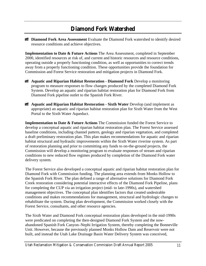## **Diamond Fork Watershed**

**Diamond Fork Area Assessment** Evaluate the Diamond Fork watershed to identify desired resource conditions and achieve objectives.

**Implementation to Date & Future Actions** The Area Assessment, completed in September 2000, identified resources at risk of, and current and historic resources and resource conditions, operating outside a properly functioning condition, as well as opportunities to correct trends away from a properly functioning condition. These opportunities provide the foundation for Commission and Forest Service restoration and mitigation projects in Diamond Fork.

- **Aquatic and Riparian Habitat Restoration Diamond Fork** Develop a monitoring program to measure responses to flow changes produced by the completed Diamond Fork System. Develop an aquatic and riparian habitat restoration plan for Diamond Fork from Diamond Fork pipeline outlet to the Spanish Fork River.
- **Aquatic and Riparian Habitat Restoration Sixth Water Develop (and implement as** appropriate) an aquatic and riparian habitat restoration plan for Sixth Water from the West Portal to the Sixth Water Aqueduct.

**Implementation to Date & Future Actions** The Commission funded the Forest Service to develop a conceptual aquatic and riparian habitat restoration plan. The Forest Service assessed baseline conditions, including channel pattern, geology and riparian vegetation, and completed a draft preliminary restoration plan. This plan makes recommendations for aquatic and riparian habitat structural and hydraulic improvements within the Sixth Water riverine system. As part of restoration planning and prior to committing any funds to on-the-ground projects, the Commission will develop a monitoring program to evaluate responses of stream and riparian conditions to new reduced flow regimes produced by completion of the Diamond Fork water delivery system.

The Forest Service also developed a conceptual aquatic and riparian habitat restoration plan for Diamond Fork with Commission funding. The planning area extends from Monks Hollow to the Spanish Fork River. The plan defined a range of alternative solutions for Diamond Fork Creek restoration considering potential interactive effects of the Diamond Fork Pipeline, plans for completing the CUP via an irrigation project (mid- to late-1990s), and watershed management objectives. The conceptual plan identifies factors that created undesirable conditions and makes recommendations for management, structural and hydrologic changes to rehabilitate the system. During plan development, the Commission worked closely with the Forest Service, consultants, and other resource agencies.

The Sixth Water and Diamond Fork conceptual restoration plans developed in the mid-1990s were predicated on completing the then-designed Diamond Fork System and the nowabandoned Spanish Fork Canyon–Nephi Irrigation System, thereby completing the Bonneville Unit. However, because the previously planned Monks Hollow Dam and Reservoir were not built, and instead the Utah Lake Drainage Basin Water Delivery System was conceived,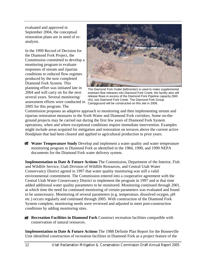evaluated and approved in September 2004, the conceptual restoration plans are in need of reanalysis.

In the 1999 Record of Decision for the Diamond Fork Project, the Commission committed to develop a monitoring program to evaluate responses of stream and riparian conditions to reduced flow regimes produced by the now completed Diamond Fork System. This planning effort was initiated late in 2004 and will carry on for the next several years. Several monitoring/ assessment efforts were conducted in 2005 for this program. The



The Diamond Fork Outlet (left/center) is used to make supplemental instream flow releases into Diamond Fork Creek; the facility also will release flows in excess of the Diamond Fork Pipeline capacity (560 cfs), into Diamond Fork Creek. The Diamond Fork Group Campground will be constructed on this site in 2006.

Commission proposes an adaptive approach to monitoring and then implementing stream and riparian restoration measures in the Sixth Water and Diamond Fork corridors. Some on-theground projects may be carried out during the first few years of Diamond Fork System operations, when and where exceptional conditions require immediate intervention. Examples might include areas acquired for mitigation and restoration on terraces above the current active floodplain that had been cleared and applied to agricultural production in prior years.

**Water Temperature Study** Develop and implement a water quality and water temperature monitoring program in Diamond Fork as identified in the 1984, 1990, and 1999 NEPA documents for the Diamond Fork water delivery system.

**Implementation to Date & Future Actions** The Commission, Department of the Interior, Fish and Wildlife Service, Utah Division of Wildlife Resources, and Central Utah Water Conservancy District agreed in 1997 that water quality monitoring was still a valid environmental commitment. The Commission entered into a cooperative agreement with the Central Utah Water Conservancy District to implement the program in 1997 and at that time added additional water quality parameters to be monitored. Monitoring continued through 2001, at which time the need for continued monitoring of certain parameters was evaluated and found to be unnecessary. Monitoring of several parameters (e.g. temperature, dissolved oxygen, pH etc.) occurs regularly and continued through 2005. With construction of the Diamond Fork System complete, monitoring needs were reviewed and adjusted to meet post-construction conditions by adding monitoring sites.

**Recreation Facilities in Diamond Fork** Construct recreation facilities compatible with conservation of natural resources.

**Implementation to Date & Future Actions** The 1988 Definite Plan Report for the Bonneville Unit identified construction of recreation facilities in Diamond Fork as a project feature of the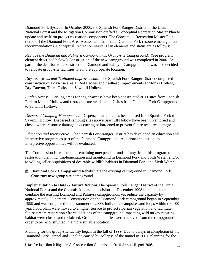Diamond Fork System. In October 2000, the Spanish Fork Ranger District of the Uinta National Forest and the Mitigation Commission drafted a Conceptual Recreation Master Plan to update and reaffirm project recreation components. The Conceptual Recreation Master Plan tiered off the Diamond Fork Area Assessment that made Diamond Fork resource management recommendations. Conceptual Recreation Master Plan elements and status are as follows:

*Replace the Diamond and Palmyra Campgrounds*. *Group-site Campground*. (See program element described below.) Construction of the new campground was completed in 2000. As part of the decision to reconstruct the Diamond and Palmyra Campgrounds it was also decided to relocate group-site facilities to a more appropriate location.

*Day-Use Areas and Trailhead Improvements.* The Spanish Fork Ranger District completed construction of a day-use area at Red Ledges and trailhead improvements at Monks Hollow, Dry Canyon, Three Forks and Sawmill Hollow.

*Angler-Access*. Parking areas for angler-access have been constructed at 11 sites from Spanish Fork to Monks Hollow and restrooms are available at 7 sites from Diamond Fork Campground to Sawmill Hollow.

*Dispersed Camping Management.* Dispersed camping has been closed from Spanish Fork to Sawmill Hollow. Dispersed camping sites above Sawmill Hollow have been inventoried and closed where resource damage is occurring or hardened to prevent future resource damage.

*Education and Interpretive.* The Spanish Fork Ranger District has developed an education and interpretive program as part of the Diamond Campground. Additional education and interpretive opportunities will be evaluated.

The Commission is reallocating remaining unexpended funds, if any, from this program to restoration planning, implementation and monitoring in Diamond Fork and Sixth Water, and/or to willing seller acquisitions of desirable wildlife habitats in Diamond Fork and Sixth Water.

**Diamond Fork Campground Rehabilitate the existing campground in Diamond Fork.** Construct new group site campground.

**Implementation to Date & Future Actions** The Spanish Fork Ranger District of the Uinta National Forest and the Commission issued decisions in December 1998 to rehabilitate and combine the existing Diamond and Palmyra campgrounds, yet reduce the capacity by approximately 33 percent. Construction on the Diamond Fork campground began in September 1999 and was completed in the summer of 2000. Individual campsites and loops within the 100 year flood plain were moved to a higher terrace to protect riparian vegetation and facilitate future stream restoration efforts. Sections of the campground impacting wild turkey roosting habitat were closed and reclaimed. Group-site facilities were removed from the campground in order to be reconstructed in a more suitable location.

Planning for the group-site facility began in the fall of 1999. Due to delays in completion of the Diamond Fork Tunnel and Pipeline caused by collapse of the tunnel in 2001, planning for the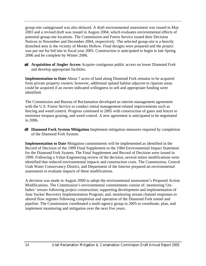group-site campground was also delayed. A draft environmental assessment was issued in May 2003 and a revised draft was issued in August 2004, which evaluates environmental effects of potential group-site locations. The Commission and Forest Service issued their Decision Notices in November and December 2004, respectively. The selected group-site is a heavily disturbed area in the vicinity of Monks Hollow. Final designs were prepared and the project was put out for bid late in fiscal year 2005. Construction is anticipated to begin in late Spring 2006 and be complete by Winter 2006.



**Acquisition of Angler Access** Acquire contiguous public access on lower Diamond Fork and develop appropriate facilities.

**Implementation to Date** About 7 acres of land along Diamond Fork remains to be acquired from private property owners; however, additional upland habitat adjacent to riparian areas could be acquired if an owner indicated willingness to sell and appropriate funding were identified.

The Commission and Bureau of Reclamation developed an interim management agreement with the U.S. Forest Service to conduct initial management-related improvements such as fencing and weed control. Progress continued in 2005 with construction of gates and fences to minimize trespass grazing, and weed control. A new agreement is anticipated to be negotiated in 2006.

**Diamond Fork System Mitigation** Implement mitigation measures required by completion of the Diamond Fork System.

**Implementation to Date** Mitigation commitments will be implemented as identified in the Record of Decision of the 1999 Final Supplement to the 1984 Environmental Impact Statement for the Diamond Fork System. The Final Supplement and Record of Decision were issued in 1999. Following a Value-Engineering review of the decision, several minor modifications were identified that reduced environmental impacts and construction costs. The Commission, Central Utah Water Conservancy District, and Department of the Interior prepared an environmental assessment to evaluate impacts of these modifications.

A decision was made in August 2000 to adopt the environmental assessment's Proposed Action Modifications. The Commission's environmental commitments consist of: monitoring Uteladies' tresses following project construction; supporting development and implementation of June Sucker Recovery Implementation Program; and, monitoring stream channel responses to altered flow regimes following completion and operation of the Diamond Fork tunnel and pipeline. The Commission coordinated a multi-agency group in 2005 to coordinate, plan, and implement monitoring and mitigation over the next five years.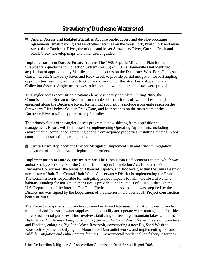## **Strawberry/Duchesne Watershed**

**Angler Access and Related Facilities** Acquire public access and develop operating agreements, small parking areas and other facilities on the West Fork, North Fork and main stem of the Duchesne River, the middle and lower Strawberry River, Currant Creek and Rock Creek. Develop maps and other useful guides.

**Implementation to Date & Future Actions** The 1988 Aquatic Mitigation Plan for the Strawberry Aqueduct and Collection System (SACS) of CUP's Bonneville Unit identified acquisition of approximately 51 miles of stream access on the Duchesne, West Fork Duchesne, Currant Creek, Strawberry River and Rock Creek to provide partial mitigation for lost angling opportunities resulting from construction and operation of the Strawberry Aqueduct and Collection System. Angler access was to be acquired where instream flows were provided.

This angler access acquisition program element is nearly complete. During 2005, the Commission and Bureau of Reclamation completed acquisitions of two reaches of angler easement along the Duchesne River. Remaining acquisitions include a one-mile reach on the Strawberry River below Soldier Creek Dam, and four reaches on the main stem of the Duchesne River totaling approximately 1.4 miles.

The primary focus of the angler-access program is now shifting from acquisition to management. Efforts will be focused on implementing Operating Agreements, including environmental compliance, removing debris from acquired properties, installing fencing, weed control and constructing parking areas.

**Uinta Basin Replacement Project Mitigation** Implement fish and wildlife mitigation features of the Uinta Basin Replacement Project.

**Implementation to Date & Future Actions** The Uinta Basin Replacement Project, which was authorized by Section 203 of the Central Utah Project Completion Act, is located within Duchesne County near the towns of Altamont, Upalco, and Roosevelt, within the Uinta Basin of northeastern Utah. The Central Utah Water Conservancy District is implementing the Project. The Commission is responsible for mitigating project impacts to fish, wildlife and wetland habitats. Funding for mitigation measures is provided under Title II of CUPCA through the U.S. Department of the Interior. The Final Environmental Assessment was prepared by the District and was signed by the Department of the Interior in October 2001. Project construction began in 2003.

The Project's purpose is to provide additional early and late season irrigation water, provide municipal and industrial water supplies, and to modify and operate water management facilities for environmental purposes. This involves stabilizing thirteen high mountain lakes within the High Uintas Wilderness Area, constructing the new Big Sand Wash Feeder Diversion Structure and Pipeline, enlarging Big Sand Wash Reservoir, constructing a new Big Sand Wash-to-Roosevelt Pipeline, modifying the Moon Lake Dam outlet works, and implementing fish and wildlife mitigation and enhancement features. Environmental needs include fishery resources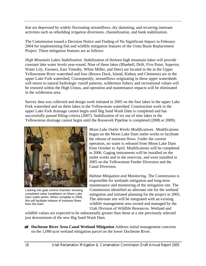that are depressed by widely fluctuating streamflows, dry damming, and recurring instream activities such as rebuilding irrigation diversions, channelization, and bank stabilization.

The Commission issued a Decision Notice and Finding of No Significant Impact in February 2004 for implementing fish and wildlife mitigation features of the Uinta Basin Replacement Project. These mitigation features are as follows:

*High Mountain Lakes Stabilization.* Stabilization of thirteen high mountain lakes will provide constant lake water levels year-round. Nine of these lakes (Bluebell, Drift, Five Point, Superior, Water Lily, Farmers, East Timothy, White Miller, and Deer) are located in the in the Upper Yellowstone River watershed and four (Brown Duck, Island, Kidney and Clements) are in the upper Lake Fork watershed. Consequently, streamflows originating in these upper watersheds will return to natural hydrologic runoff patterns, wilderness fishery and recreational values will be restored within the High Uintas, and operation and maintenance impacts will be eliminated in the wilderness area.

Survey data was collected and design work initiated in 2005 on the four lakes in the upper Lake Fork watershed and on three lakes in the Yellowstone watershed. Construction work in the upper Lake Fork drainage cannot begin until Big Sand Wash Dam is completed and has successfully passed filling criteria (2007). Stabilization of six out of nine lakes in the Yellowstone drainage cannot begin until the Roosevelt Pipeline is completed (2008 or 2009).



Looking into gate control chamber showing completed valve installation on Moon Lake Dam outlet works. When complete in 2006, this will facilitate release of instream flows from the Dam.

*Moon Lake Outlet Works Modifications.* Modifications began on the Moon Lake Dam outlet works to facilitate the release of instream flows. Under the current operation, no water is released from Moon Lake Dam from October to April. Modifications will be completed in 2006. Gaging instruments will be installed on the outlet works and in the reservoir, and were installed in 2005 on the Yellowstone Feeder Diversion and the Canal Diversion.

*Habitat Mitigation and Monitoring.* The Commission is responsible for wetlands mitigation and long-term maintenance and monitoring of the mitigation site. The Commission identified an alternate site for the wetland mitigation and initiated planning for the project in 2005. The alternate site will be integrated with an existing wildlife management area owned and managed by the Utah Division of Wildlife Resources. Wetland and

wildlife values are expected to be substantially greater than those at a site previously selected just downstream of the new Big Sand Wash Dam.

**Duchesne River Area Canal Wetland Mitigation Address initial management concerns** on the 1,090-acre wetland mitigation parcel on the lower Duchesne River.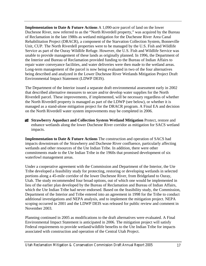**Implementation to Date & Future Actions** A 1,090-acre parcel of land on the lower Duchesne River, now referred to as the "North Riverdell property," was acquired by the Bureau of Reclamation in the late 1980s as wetland mitigation for the Duchesne River Area Canal Rehabilitation Project (DRACR), a component of the Starvation Collection System, Bonneville Unit, CUP. The North Riverdell properties were to be managed by the U.S. Fish and Wildlife Service as part of the Ouray Wildlife Refuge. However, the U.S. Fish and Wildlife Service was unable to provide management of these lands as originally planned. In 1996, the Department of the Interior and Bureau of Reclamation provided funding to the Bureau of Indian Affairs to repair water conveyance facilities, and water deliveries were then made to the wetland areas. Long-term management of the parcel is now being evaluated in two of the four alternatives being described and analyzed in the Lower Duchesne River Wetlands Mitigation Project Draft Environmental Impact Statement (LDWP DEIS).

The Department of the Interior issued a separate draft environmental assessment early in 2002 that described alternative measures to secure and/or develop water supplies for the North Riverdell parcel. These improvements, if implemented, will be necessary regardless of whether the North Riverdell property is managed as part of the LDWP (see below), or whether it is managed as a stand-alone mitigation project for the DRACR program. A Final EA and decision on the North Riverdell water system improvements may be completed in 2006.

**Strawberry Aqueduct and Collection System Wetland Mitigation Protect, restore and** enhance wetlands along the lower Duchesne River corridor as mitigation for SACS wetland impacts.

**Implementation to Date & Future Actions** The construction and operation of SACS had impacts downstream of the Strawberry and Duchesne River confluence, particularly affecting wetlands and other resources of the Ute Indian Tribe. In addition, there were other commitments made to the Ute Indian Tribe in the 1960s that promised development of six waterfowl management areas.

Under a cooperative agreement with the Commission and Department of the Interior, the Ute Tribe developed a feasibility study for protecting, restoring or developing wetlands in selected portions along a 45-mile corridor of the lower Duchesne River, from Bridgeland to Ouray, Utah. The study recommended four broad options, out of which one would be implemented in lieu of the earlier plan developed by the Bureau of Reclamation and Bureau of Indian Affairs, which the Ute Indian Tribe had never endorsed. Based on the feasibility study, the Commission, Department of the Interior and Tribe entered into an agreement in 1998 for the Tribe to conduct additional investigations and NEPA analysis, and to implement the mitigation project. NEPA scoping occurred in 2001 and the LDWP DEIS was released for public review and comment in November 2003.

Planning continued in 2005 as modifications to the draft alternatives were evaluated. A Final Environmental Impact Statement is anticipated in 2006. The mitigation project will satisfy Federal requirements to provide wetland/wildlife benefits to the Ute Indian Tribe for impacts associated with construction and operation of the Central Utah Project.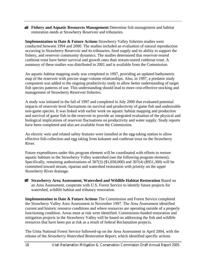**Fishery and Aquatic Resources Management** Determine fish management and habitat restoration needs at Strawberry Reservoir and tributaries.

**Implementation to Date & Future Actions Strawberry Valley fisheries studies were** conducted between 1994 and 2000. The studies included an evaluation of natural reproduction occurring in Strawberry Reservoir and its tributaries, food supply and its ability to support the fishery, and reservoir community dynamics. The studies determined that reservoir-reared cutthroat trout have better survival and growth rates than stream-reared cutthroat trout. A summary of these studies was distributed in 2001 and is available from the Commission.

An aquatic habitat mapping study was completed in 1997, providing an updated bathymetric map of the reservoir with precise stage-volume relationships. Also, in 1997, a predator study component was added to the ongoing productivity study to allow better understanding of target fish species patterns of use. This understanding should lead to more cost-effective stocking and management of Strawberry Reservoir fisheries.

A study was initiated in the fall of 1997 and completed in July 2000 that evaluated potential impacts of reservoir level fluctuations on survival and productivity of game fish and undesirable non-game species. It was linked with earlier work on aquatic habitat mapping and production and survival of game fish in the reservoir to provide an integrated evaluation of the physical and biological implications of reservoir fluctuations on productivity and water supply. Study reports have been completed and also are available from the Commission.

An electric weir and related safety features were installed at the egg-taking station to allow effective fish collection and egg taking from kokanee and cutthroat trout on the Strawberry River.

Future expenditures under this program element will be coordinated with efforts to restore aquatic habitats in the Strawberry Valley watershed (see the following program element). Specifically, remaining authorizations of 307(3) (\$1,058,000) and 307(4) (\$951,300) will be committed toward stream, riparian and watershed restoration with priority on the upper Strawberry River drainage.

**Strawberry Area Assessment, Watershed and Wildlife Habitat Restoration** Based on  $\psi_{\pm}$  . an Area Assessment, cooperate with U.S. Forest Service to identify future projects for watershed, wildlife habitat and tributary restoration.

**Implementation to Date & Future Actions** The Commission and Forest Service completed the Strawberry Valley Area Assessment in November 1997. The Area Assessment identified current and historic resource conditions and where resources are operating outside of a properly functioning condition. Areas most at risk were identified. Commission-funded restoration and mitigation projects in the Strawberry Valley will be based on addressing the fish and wildlife resources that have been put at risk as a result of federal Reclamation projects.

The Uinta National Forest Service followed-up on the Area Assessment in April 2004, with the release of the *Strawberry Watershed Restoration Report*, which identified specific actions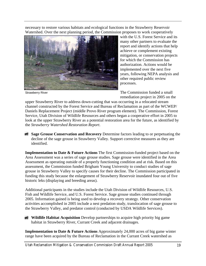necessary to restore various habitats and ecological functions in the Strawberry Reservoir Watershed. Over the next planning period, the Commission proposes to work cooperatively



Strawberry River

with the U.S. Forest Service and its many other partners to evaluate the report and identify actions that help achieve or complement existing mitigation, or conservation projects for which the Commission has authorization. Actions would be implemented over the next five years, following NEPA analysis and other required public review processes.

The Commission funded a small remediation project in 2005 on the

upper Strawberry River to address down-cutting that was occurring in a relocated stream channel constructed by the Forest Service and Bureau of Reclamation as part of the WCWEP/ Daniels Replacement Project (middle Provo River program element). The Commission, Forest Service, Utah Division of Wildlife Resources and others began a cooperative effort in 2005 to look at the upper Strawberry River as a potential restoration area for the future, as identified by the *Strawberry Watershed Restoration Report*.

**Sage Grouse Conservation and Recovery** Determine factors leading to or perpetuating the  $\mathcal{P}_\pm$  is decline of the sage grouse in Strawberry Valley. Support corrective measures as they are identified.

**Implementation to Date & Future Actions** The first Commission-funded project based on the Area Assessment was a series of sage grouse studies. Sage grouse were identified in the Area Assessment as operating outside of a properly functioning condition and at risk. Based on this assessment, the Commission funded Brigham Young University to conduct studies of sage grouse in Strawberry Valley to specify causes for their decline. The Commission participated in funding this study because the enlargement of Strawberry Reservoir inundated four out of five historic leks (displaying and breeding areas).

Additional participants in the studies include the Utah Division of Wildlife Resources, U.S. Fish and Wildlife Service, and U.S. Forest Service. Sage grouse studies continued through 2005. Information gained is being used to develop a recovery strategy. Other conservation activities accomplished in 2005 include a nest predation study, translocation of sage grouse to the Strawberry Valley, and predator control (conducted by USDA Wildlife Services).

**Wildlife Habitat Acquisition** Develop partnerships to acquire high priority big game habitat in Strawberry River, Currant Creek and adjacent drainages.

**Implementation to Date & Future Actions** Approximately 24,000 acres of big game winter range have been acquired by the Bureau of Reclamation in the Currant Creek watershed as

Utah Reclamation Mitigation & Conservation Commission Draft Annual Report 2005 19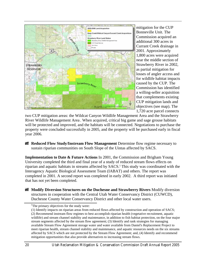

mitigation for the CUP Bonneville Unit. The Commission acquired an additional 300 acres in Currant Creek drainage in 2001. Approximately 1,800 acres were acquired near the middle section of Strawberry River in 2002, as partial mitigation for losses of angler access and for wildlife habitat impacts caused by the CUP. The Commission has identified a willing-seller acquisition that complements existing CUP mitigation lands and objectives (see map). The 1,720 acre parcel connects

two CUP mitigation areas: the Wildcat Canyon Wildlife Management Area and the Strawberry River Wildlife Management Area . When acquired, critical big game and sage grouse habitats will be protected and improved, and the habitats will be connected. Negotiations to purchase the property were concluded successfully in 2005, and the property will be purchased early in fiscal year 2006.

**Reduced Flow Study/Instream Flow Management** Determine flow regime necessary to sustain riparian communities on South Slope of the Uintas affected by SACS.

**Implementation to Date & Future Actions** In 2001, the Commission and Brigham Young University completed the third and final year of a study of reduced stream flows effects on riparian and aquatic habitats in streams affected by SACS.<sup>5</sup> This study was coordinated with the Interagency Aquatic Biological Assessment Team (IABAT) and others. The report was completed in 2001. A second report was completed in early 2002. A third report was initiated that has not yet been completed.

**Modify Diversion Structures on the Duchesne and Strawberry Rivers Modify diversion** structures in cooperation with the Central Utah Water Conservancy District (CUWCD), Duchesne County Water Conservancy District and other local water users.

<sup>&</sup>lt;sup>5</sup>The primary objectives for the study were:

<sup>(1)</sup> Identify impacts on riparian areas from reduced flows affected by construction and operation of SACS; (2) Recommend instream flow regimes to best accomplish riparian health (vegetative recruitment, aquatic wildlife) and stream channel stability and maintenance, in addition to fish habitat protection, on the four major stream segments affected by the stream flow agreement; (3) Identify and rank strategies for managing available Stream Flow Agreement storage water and water available from Daniel's Replacement Project to meet riparian health, stream channel stability and maintenance, and aquatic resources needs on the six streams affected by SACS which are not protected by the Stream Flow Agreement; and, (4) Identify and recommend mitigation opportunities that also provide alternatives to increasing stream flows.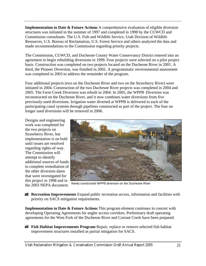**Implementation to Date & Future Actions** A comprehensive evaluation of eligible diversion structures was initiated in the summer of 1997 and completed in 1998 by the CUWCD and Commission consultants. The U.S. Fish and Wildlife Service, Utah Division of Wildlife Resources, U.S. Bureau of Reclamation, U.S. Forest Service and others analyzed the data and made recommendations to the Commission regarding priority projects.

The Commission, CUWCD, and Duchesne County Water Conservancy District entered into an agreement to begin rebuilding diversions in 1999. Four projects were selected on a pilot project basis. Construction was completed on two projects located on the Duchesne River in 2001. A third, the Pioneer Diversion, was finished in 2002. A programmatic environmental assessment was completed in 2003 to address the remainder of the program.

Four additional projects (two on the Duchesne River and two on the Strawberry River) were initiated in 2004. Construction of the two Duchesne River projects was completed in 2004 and 2005. The Farm Creek Diversion was rebuilt in 2004. In 2005, the WPPB Diversion was reconstructed on the Duchesne River, and it now combines water diversions from five previously-used diversions. Irrigation water diverted at WPPB is delivered to each of the participating canal systems through pipelines constructed as part of the project. The four no longer used diversions will be removed in 2006.

Designs and engineering work was completed for the two projects on Strawberry River, but implementation is on hold until issues are resolved regarding rights-of-way. The Commission will attempt to identify additional sources of funds to complete remediation of the other diversion dams that were investigated for this project in 1998 and in the 2003 NEPA document.



Newly constructed WPPB diversion on the Duchesne River

**Recreation Improvements** Expand public recreation access, information and facilities with priority on SACS mitigation requirements.

**Implementation to Date & Future Actions** This program element continues in concert with developing Operating Agreements for angler access corridors. Preliminary draft operating agreements for the West Fork of the Duchesne River and Currant Creek have been prepared.

**Fish Habitat Improvements Program** Repair, replace or remove selected fish habitat improvement structures installed as partial mitigation for SACS.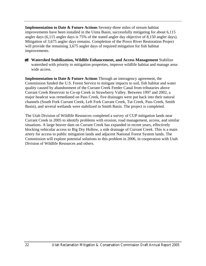**Implementation to Date & Future Actions** Seventy-three miles of stream habitat improvements have been installed in the Uinta Basin, successfully mitigating for about 6,115 angler days (6,115 angler days is 75% of the stated angler day objective of 8,150 angler days). Mitigation of 3,675 angler days remains. Completion of the Provo River Restoration Project will provide the remaining 3,675 angler days of required mitigation for fish habitat improvements.



**Watershed Stabilization, Wildlife Enhancement, and Access Management** Stabilize watershed with priority to mitigation properties, improve wildlife habitat and manage areawide access.

**Implementation to Date & Future Actions** Through an interagency agreement, the Commission funded the U.S. Forest Service to mitigate impacts to soil, fish habitat and water quality caused by abandonment of the Currant Creek Feeder Canal from tributaries above Currant Creek Reservoir to Co-op Creek in Strawberry Valley. Between 1997 and 2002, a major headcut was remediated on Pass Creek, five drainages were put back into their natural channels (South Fork Currant Creek, Left Fork Currant Creek, Tut Creek, Pass Creek, Smith Basin), and several wetlands were stabilized in Smith Basin. The project is completed.

The Utah Division of Wildlife Resources completed a survey of CUP mitigation lands near Currant Creek in 2005 to identify problems with erosion, road management, access, and similar situations. A large beaver dam on Currant Creek has expanded in recent years, effectively blocking vehicular access to Big Dry Hollow, a side drainage of Currant Creek. This is a main artery for access to public mitigation lands and adjacent National Forest System lands. The Commission will explore potential solutions to this problem in 2006, in cooperation with Utah Division of Wildlife Resources and others.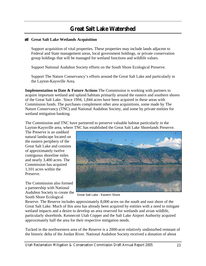## **Great Salt Lake Watershed**

#### **Great Salt Lake Wetlands Acquisition**

Support acquisition of vital properties. These properties may include lands adjacent to Federal and State management areas, local government holdings, or private conservation group holdings that will be managed for wetland functions and wildlife values.

Support National Audubon Society efforts on the South Shore Ecological Preserve.

Support The Nature Conservancy's efforts around the Great Salt Lake and particularly in the Layton-Kaysville Area.

**Implementation to Date & Future Actions** The Commission is working with partners to acquire important wetland and upland habitats primarily around the eastern and southern shores of the Great Salt Lake . Since 1994, 1,844 acres have been acquired in these areas with Commission funds. The purchases complement other area acquisitions, some made by The Nature Conservancy (TNC) and National Audubon Society, and some by private entities for wetland mitigation banking.

The Commission and TNC have partnered to preserve valuable habitat particularly in the Layton-Kaysville area, where TNC has established the Great Salt Lake Shorelands Preserve.

The Preserve is an undiked natural landscape located on the eastern periphery of the Great Salt Lake and consists of approximately twelve contiguous shoreline miles and nearly 3,400 acres. The Commission has acquired 1,101 acres within the Preserve.

The Commission also formed a partnership with National Audubon Society to create the South Shore Ecological



Great Salt Lake - Eastern Shore

Reserve. The Reserve includes approximately 8,000 acres on the south and east shore of the Great Salt Lake. Much of this area has already been acquired by entities with a need to mitigate wetland impacts and a desire to develop an area reserved for wetlands and avian wildlife, particularly shorebirds. Kennecott Utah Copper and the Salt Lake Airport Authority acquired approximately half the area for their respective mitigation needs.

Tucked in the northwestern area of the Reserve is a 2000-acre relatively undisturbed remnant of the historic delta of the Jordan River. National Audubon Society received a donation of about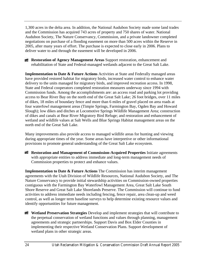1,300 acres in the delta area. In addition, the National Audubon Society made some land trades and the Commission has acquired 743 acres of property and 750 shares of water. National Audubon Society, The Nature Conservancy, Commission, and a private landowner completed negotiations on purchase of a flooding easement on more than 500 acres within the Reserve in 2005, after many years of effort. The purchase is expected to close early in 2006. Plans to deliver water to and through the easement will be developed in 2006.

**Restoration of Agency Management Areas** Support restoration, enhancement and rehabilitation of State and Federal-managed wetlands adjacent to the Great Salt Lake.

**Implementation to Date & Future Actions** Activities at State and Federally managed areas have provided restored habitat for migratory birds, increased water control to enhance water delivery to the units managed for migratory birds, and improved recreation access. In 1998, State and Federal cooperators completed restoration measures underway since 1994 with Commission funds. Among the accomplishments are: an access road and parking lot providing access to Bear River Bay on the north end of the Great Salt Lake; 26 foot bridges, over 11 miles of dikes, 18 miles of boundary fence and more than 6 miles of gravel placed on area roads at four waterfowl management areas (Timpie Springs, Farmington Bay, Ogden Bay and Howard Slough); low dikes and ditches at Locomotive Springs Wildlife Management Area; construction of dikes and canals at Bear River Migratory Bird Refuge; and restoration and enhancement of wetland and wildlife values at Salt Wells and Blue Springs Habitat management areas on the north end of the Great Salt Lake.

Many improvements also provide access to managed wildlife areas for hunting and viewing during appropriate times of the year. Some areas have interpretive or other informational provisions to promote general understanding of the Great Salt Lake ecosystem.

**Restoration and Management of Commission-Acquired Properties** Initiate agreements with appropriate entities to address immediate and long-term management needs of Commission properties to protect and enhance values.

**Implementation to Date & Future Actions** The Commission has interim management agreements with the Utah Division of Wildlife Resources, National Audubon Society, and The Nature Conservancy to provide initial stewardship activities on Commission-owned properties contiguous with the Farmington Bay Waterfowl Management Area, Great Salt Lake South Shore Reserve and Great Salt Lake Shorelands Preserve. The Commission will continue to fund activities to address immediate needs including fencing, fence repair, area clean-up and weed control, as well as longer term baseline surveys to help determine existing resource values and identify opportunities for future management.

**Wetland Preservation Strategies** Develop and implement strategies that will contribute to the perpetual conservation of wetland functions and values through planning, management agreements and strategic partnerships. Support Davis and Box Elder Counties in implementing their respective Wetland Conservation Plans. Support development of wetland plans in other strategic areas.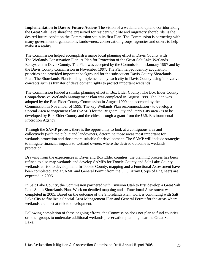**Implementation to Date & Future Actions** The vision of a wetland and upland corridor along the Great Salt Lake shoreline, preserved for resident wildlife and migratory shorebirds, is the desired future condition the Commission set in its first Plan. The Commission is partnering with many government organizations, landowners, conservation groups, agencies and others to help make it a reality.

The Commission helped accomplish a major local planning effort in Davis County with The Wetlands Conservation Plan: A Plan for Protection of the Great Salt Lake Wetlands Ecosystem in Davis County. The Plan was accepted by the Commission in January 1997 and by the Davis County Commission in November 1997. The Plan helped identify acquisition priorities and provided important background for the subsequent Davis County Shorelands Plan. The Shorelands Plan is being implemented by each city in Davis County using innovative concepts such as transfer of development rights to protect important wetlands.

The Commission funded a similar planning effort in Box Elder County. The Box Elder County Comprehensive Wetlands Management Plan was completed in August 1999. The Plan was adopted by the Box Elder County Commission in August 1999 and accepted by the Commission in November of 1999. The key Wetlands Plan recommendation - to develop a Special Area Management Plan (SAMP) for the Brigham City and Perry City area - is to be developed by Box Elder County and the cities through a grant from the U.S. Environmental Protection Agency.

Through the SAMP process, there is the opportunity to look at a contiguous area and collectively (with the public and landowners) determine those areas most important for wetlands protection and those more suitable for development. The SAMP will include strategies to mitigate financial impacts to wetland owners where the desired outcome is wetlands protection.

Drawing from the experiences in Davis and Box Elder counties, the planning process has been refined to also map wetlands and develop SAMPs for Tooele County and Salt Lake County wetlands at risk to development. In Tooele County, mapping and a Functional Assessment have been completed, and a SAMP and General Permit from the U. S. Army Corps of Engineers are expected in 2006.

In Salt Lake County, the Commission partnered with Envision Utah to first develop a Great Salt Lake South Shorelands Plan. Work on detailed mapping and a Functional Assessment was completed in 2005. Based on the outcome of the Shorelands Plan, work is continuing with Salt Lake City to finalize a Special Area Management Plan and General Permit for the areas where wetlands are most at risk to development.

Following completion of these ongoing efforts, the Commission does not plan to fund counties or other groups to undertake additional wetlands preservation planning near the Great Salt Lake.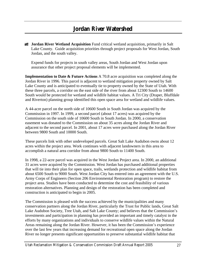**Jordan River Wetland Acquisition** Fund critical wetland acquisition, primarily in Salt Lake County. Guide acquisition priorities through project proposals for West Jordan, South Jordan, and the south valley.

Expend funds for projects in south valley areas, South Jordan and West Jordan upon assurance that other project proposal elements will be implemented.

**Implementation to Date & Future Actions** A 70.8 acre acquisition was completed along the Jordan River in 1996. This parcel is adjacent to wetland mitigation property owned by Salt Lake County and is anticipated to eventually tie to property owned by the State of Utah. With these three parcels, a corridor on the east side of the river from about 12300 South to 14600 South would be protected for wetland and wildlife habitat values. A Tri City (Draper, Bluffdale and Riverton) planning group identified this open space area for wetland and wildlife values.

A 44-acre parcel on the north side of 10600 South in South Jordan was acquired by the Commission in 1997. In 1999, a second parcel (about 17 acres) was acquired by the Commission on the south side of 10600 South in South Jordan. In 2000, a conservation easement was donated to the Commission on about 35 acres along the Jordan River and adjacent to the second parcel. In 2001, about 17 acres were purchased along the Jordan River between 9800 South and 10000 South.

These parcels link with other undeveloped parcels. Great Salt Lake Audubon owns about 12 acres within the project area. Work continues with adjacent landowners in this area to accomplish a natural area corridor from about 9800 South to 11400 South.

In 1998, a 22-acre parcel was acquired in the West Jordan Project area. In 2000, an additional 31 acres were acquired by the Commission. West Jordan has purchased additional properties that will tie into their plan for open space, trails, wetlands protection and wildlife habitat from about 6500 South to 9000 South. West Jordan City has entered into an agreement with the U.S. Army Corps of Engineers (Section 206 Environmental Restoration program) to restore the project area. Studies have been conducted to determine the cost and feasibility of various restoration alternatives. Planning and design of the restoration has been completed and construction is anticipated to begin in 2005.

The Commission is pleased with the success achieved by the municipalities and many conservation partners along the Jordan River, particularly the Trust for Public lands, Great Salt Lake Audubon Society, Tree Utah, and Salt Lake County; and believes that the Commission's investments and participation in planning has provided an important and timely catalyst in the efforts by many organizations and individuals to conserve wildlife values within the Natural Areas remaining along the Jordan River. However, it has been the Commission's experience over the last few years that increasing demand for recreational open space along the Jordan River no longer presents significant opportunities to preserve substantial wildlife habitat that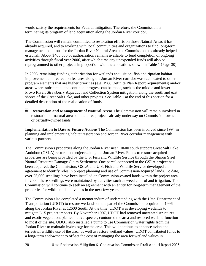would satisfy the requirements for Federal mitigation. Therefore, the Commission is terminating its program of land acquisition along the Jordan River corridor.

The Commission will remain committed to restoration efforts on those Natural Areas it has already acquired, and to working with local communities and organizations to find long-term management solutions for the Jordan River Natural Areas the Commission has already helped establish. About \$400,000 of authorization remains available to fund completion of ongoing activities through fiscal year 2006, after which time any unexpended funds will also be reprogrammed to other projects in proportion with the allocations shown in Table 1 (Page 30).

In 2005, remaining funding authorization for wetlands acquisition, fish and riparian habitat improvement and recreation features along the Jordan River corridor was reallocated to other program elements that are higher priorities (e.g. 1988 Definite Plan Report requirements) and/or areas where substantial and continual progress can be made, such as the middle and lower Provo River, Strawberry Aqueduct and Collection System mitigation, along the south and east shores of the Great Salt Lake, and other projects. See Table 1 at the end of this section for a detailed description of the reallocation of funds.

**Restoration and Management of Natural Areas** The Commission will remain involved in restoration of natural areas on the three projects already underway on Commission-owned or partially-owned lands

**Implementation to Date & Future Actions** The Commission has been involved since 1994 in planning and implementing habitat restoration and Jordan River corridor management with various partners.

The Commission's properties along the Jordan River near 10600 south support Great Salt Lake Audubon (GSLA) restoration projects along the Jordan River. Funds to restore acquired properties are being provided by the U.S. Fish and Wildlife Service through the Sharon Steel Natural Resource Damage Claim Settlement. One parcel connected to the GSLA project has been acquired; the Commission, GSLA and U.S. Fish and Wildlife Service developed an agreement to identify roles in project planning and use of Commission-acquired lands. To date, over 25,000 seedlings have been installed on Commission-owned lands within the project area. In 2004, these seedlings were maintained by activities such as weed control and irrigation. The Commission will continue to seek an agreement with an entity for long-term management of the properties for wildlife habitat values in the next few years.

The Commission also completed a memorandum of understanding with the Utah Department of Transportation (UDOT) to restore wetlands on the parcel the Commission acquired in 1996 along the Jordan River at 12600 South. At the time, UDOT was developing wetlands to mitigate I-15 project impacts. By November 1997, UDOT had removed unwanted structures and exotic vegetation, planted native species, contoured the area and restored wetland function to most of the site. UDOT also installed a pump to use Commission water rights from the Jordan River to maintain hydrology for the area. This will continue to enhance avian and terrestrial wildlife use of the area, as well as restore wetland values. UDOT contributed funds to a long-term endowment to off-set the cost of managing the area for wetland values in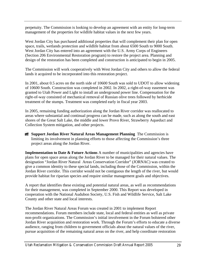perpetuity. The Commission is looking to develop an agreement with an entity for long-term management of the properties for wildlife habitat values in the next few years.

West Jordan City has purchased additional properties that will complement their plan for open space, trails, wetlands protection and wildlife habitat from about 6500 South to 9000 South. West Jordan City has entered into an agreement with the U.S. Army Corps of Engineers (Section 206 Environmental Restoration program) to restore the project area. Planning and design of the restoration has been completed and construction is anticipated to begin in 2005.

The Commission will work cooperatively with West Jordan City and others to allow the federal lands it acquired to be incorporated into this restoration project.

In 2001, about 0.5 acres on the north side of 10600 South was sold to UDOT to allow widening of 10600 South. Construction was completed in 2002. In 2002, a right-of-way easement was granted to Utah Power and Light to install an underground power line. Compensation for the right-of-way consisted of mechanical removal of Russian olive trees followed by herbicide treatment of the stumps. Treatment was completed early in fiscal year 2003.

In 2005, remaining funding authorization along the Jordan River corridor was reallocated to areas where substantial and continual progress can be made, such as along the south and east shores of the Great Salt Lake, the middle and lower Provo River, Strawberry Aqueduct and Collection System mitigation, and other projects.

**Support Jordan River Natural Areas Management Planning The Commission is** limiting its involvement in planning efforts to those affecting the Commission's three project areas along the Jordan River.

**Implementation to Date & Future Actions** A number of municipalities and agencies have plans for open space areas along the Jordan River to be managed for their natural values. The designation "Jordan River Natural Areas Conservation Corridor" (JORNAC) was created to give a common identity to these special lands, including those of the Commission, within the Jordan River corridor. This corridor would not be contiguous the length of the river, but would provide habitat for riparian species and require similar management goals and objectives.

A report that identifies these existing and potential natural areas, as well as recommendations for their management, was completed in September 2000. This Report was developed in cooperation with the National Audubon Society, U.S. Fish and Wildlife Service, Salt Lake County and other state and local interests.

The Jordan River Natural Areas Forum was created in 2001 to implement Report recommendations. Forum members include state, local and federal entities as well as private non-profit organizations. The Commission's initial involvement in the Forum bolstered other Jordan River acquisition and restoration work. Through the Forum's efforts to educate a diverse audience, ranging from children to government officials about the natural values of the river, pursue acquisition of the remaining natural areas on the river, and help coordinate restoration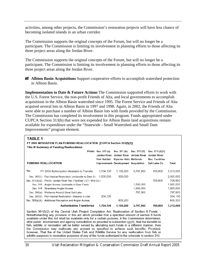activities, among other projects, the Commission's restoration projects will have less chance of becoming isolated islands in an urban corridor.

The Commission supports the original concepts of the Forum, but will no longer be a participant. The Commission is limiting its involvement in planning efforts to those affecting its three project areas along the Jordan River.

The Commission supports the original concepts of the Forum, but will no longer be a participant. The Commission is limiting its involvement in planning efforts to those affecting its three project areas along the Jordan River.

**Albion Basin Acquisitions** Support cooperative efforts to accomplish watershed protection in Albion Basin.

**Implementation to Date & Future Actions** The Commission supported efforts to work with the U.S. Forest Service, the non-profit Friends of Alta, and local governments to accomplish acquisitions in the Albion Basin watershed since 1995. The Forest Service and Friends of Alta acquired several lots in Albion Basin in 1997 and 1998. Again, in 2002, the Friends of Alta were able to purchase a number of Albion Basin lots with funds provided by the Commission. The Commission has completed its involvement in this program. Funds appropriated under CUPCA Section 313(b) that were not expended for Albion Basin land acquisitions remain available for expenditure under the "Statewide - Small Watershed and Small Dam Improvements" program element.

| <b>TABLE 1</b>                                                                                                                                                                                                                                                                                                                                                                                                                                                                                                                                                                                                                                                                                                                                                                                                                                           | FY 2005 MITIGATION PLAN FUNDING REALLOCATION [CUPCA Section 301(f)(2)]<br><b>Title III Summary of Funding Reallocations</b>                                                                                                                                                                                                                                       |                      |                                                                                                                         |                                   |                                           |                                                                                 |  |
|----------------------------------------------------------------------------------------------------------------------------------------------------------------------------------------------------------------------------------------------------------------------------------------------------------------------------------------------------------------------------------------------------------------------------------------------------------------------------------------------------------------------------------------------------------------------------------------------------------------------------------------------------------------------------------------------------------------------------------------------------------------------------------------------------------------------------------------------------------|-------------------------------------------------------------------------------------------------------------------------------------------------------------------------------------------------------------------------------------------------------------------------------------------------------------------------------------------------------------------|----------------------|-------------------------------------------------------------------------------------------------------------------------|-----------------------------------|-------------------------------------------|---------------------------------------------------------------------------------|--|
|                                                                                                                                                                                                                                                                                                                                                                                                                                                                                                                                                                                                                                                                                                                                                                                                                                                          |                                                                                                                                                                                                                                                                                                                                                                   | From: Sec. $311(a)$  | Sec. 311 (b) Sec. 311 (C)<br>Jordan River Jordan River Jordan River Jordan River<br>Fish Habitat Riparian Habi Wetlands |                                   | Sec. 311 (d)(1)<br><b>Rec. Facilities</b> |                                                                                 |  |
|                                                                                                                                                                                                                                                                                                                                                                                                                                                                                                                                                                                                                                                                                                                                                                                                                                                          | <b>FUNDING REALLOCATION</b>                                                                                                                                                                                                                                                                                                                                       |                      | Improvement: Development Acquisition                                                                                    |                                   | Salt Lake Co.                             | Total                                                                           |  |
| To:                                                                                                                                                                                                                                                                                                                                                                                                                                                                                                                                                                                                                                                                                                                                                                                                                                                      | FY 2005 Authorization Available to Transfer                                                                                                                                                                                                                                                                                                                       | 1,704,100            | 1,105,200                                                                                                               | 3.797,900                         | 705,800                                   | 7,313,000                                                                       |  |
| Sec. 306(a)<br>Sec. 307(2)                                                                                                                                                                                                                                                                                                                                                                                                                                                                                                                                                                                                                                                                                                                                                                                                                               | Sec. 307(1) Fish Habitat Restoration Jordanelle to Deer Cr<br>Sec. 311(d)(2) Provo / Jordan River Rec. Facilities (UT / WA Co.)<br>Sec. 315 Angler Access Jordanelle to Deer Creek<br>Sec. 315 Strawberry Angler Access<br>Wetlands Around Great Salt Lake<br>Fish Habitat Restoration: Streams in Utah<br>Sec. 309(a)(4) Additional Recreation and Angler Access | 1,500,000<br>204.100 | 500,000<br>605,200                                                                                                      | 1,500,000<br>1,500,000<br>797.900 | 705.800                                   | 2,000,000<br>705,800<br>1,500,000<br>1,500,000<br>797.900<br>204.100<br>605,200 |  |
|                                                                                                                                                                                                                                                                                                                                                                                                                                                                                                                                                                                                                                                                                                                                                                                                                                                          | <b>Authorization Transferred</b>                                                                                                                                                                                                                                                                                                                                  | 1,704,100            | 1,105,200                                                                                                               | 3,797,900                         | 705,800                                   | 7,313,000                                                                       |  |
| Section 301(f)(2) of the Central Utah Project Completion Act: Reallocation of Section 8 Funds. -<br>Notwithstanding any provision of this act which provides that a specified amount of section 8 funds<br>available under this Act shall be available only for a certain purpose, if the Commission determines,<br>after public involvement and agency consultation as provided in subsection $(g)(3)$ , that the benefits to<br>fish, wildlife, or recreation will be better served by allocating such funds in a different manner, then<br>the Commission may reallocate any amount so specified to achieve such benefits: Provided,<br>however, That the of the United States Fish and Wildlife Service for any reallocation from fish or<br>wildlife purposes to recreation purposes of any of the funds authorized in the schedule in section 315. |                                                                                                                                                                                                                                                                                                                                                                   |                      |                                                                                                                         |                                   |                                           |                                                                                 |  |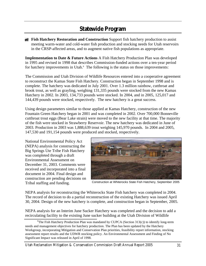## **Statewide Program**

**Fish Hatchery Restoration and Construction** Support fish hatchery production to assist meeting warm-water and cold-water fish production and stocking needs for Utah reservoirs in the CRSP-affected areas, and to augment native fish populations as appropriate.

**Implementation to Date & Future Actions** A Fish Hatchery Production Plan was developed in 1995 and revised in 1998 that describes Commission-funded actions over a ten-year period for hatchery improvements in Utah.<sup>6</sup> The following is the status on those improvements:

The Commission and Utah Division of Wildlife Resources entered into a cooperative agreement to reconstruct the Kamas State Fish Hatchery. Construction began in September 1998 and is complete. The hatchery was dedicated in July 2001. Over 1.3 million rainbow, cutthroat and brook trout, as well as grayling, weighing 131,335 pounds were stocked from the new Kamas Hatchery in 2002. In 2003, 134,733 pounds were stocked. In 2004, and in 2005, 125,017 and 144,439 pounds were stocked, respectively. The new hatchery is a great success.

Using design parameters similar to those applied at Kamas Hatchery, construction of the new Fountain Green Hatchery began in 2001 and was completed in 2002. Over 700,000 Bonneville cutthroat trout eggs (Bear Lake strain) were moved to the new facility at that time. The majority of the fish were stocked in Strawberry Reservoir. The new hatchery was dedicated in June of 2003. Production in 2003 was 1,888,639 trout weighing 145,970 pounds. In 2004 and 2005, 147,530 and 191,154 pounds were produced and stocked, respectively.

National Environmental Policy Act (NEPA) analysis for constructing the Big Springs Ute Tribe Fish Hatchery was completed through a draft Environmental Assessment on December 31, 2003. Comments were received and incorporated into a final document in 2004. Final design and construction are pending decisions on Tribal staffing and funding.



Construction at Whiterocks State Fish Hatchery, September 2005

NEPA analysis for reconstructing the Whiterocks State Fish hatchery was completed in 2004. The record of decision to do a partial reconstruction of the existing Hatchery was issued April 30, 2004. Design of the new hatchery is complete, and construction began in September, 2005.

NEPA analysis for an Interim June Sucker Hatchery was completed and the decision to add a recirculating facility to the existing June sucker building at the Utah Division of Wildlife

<sup>&</sup>lt;sup>6</sup>The Fish Hatchery Production Plan was mandated by CUPCA (Section  $313(c)$ ) to identify long-term needs and management objectives for hatchery production. The Plan has been updated by the Hatchery Workgroup, incorporating Mitigation and Conservation Plan priorities, feasibility report information, stocking assessment report results and the UDWR stocking policy. An Environmental Assessment and Finding of No Significant Impact was released in April of 1998.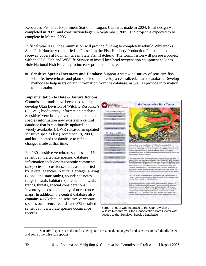Resources' Fisheries Experiment Station in Logan, Utah was made in 2004. Final design was completed in 2005, and construction began in September, 2005. The project is expected to be complete in March, 2006.

In fiscal year 2006, the Commission will provide funding to completely rebuild Whiterocks State Fish Hatchery (identified as Phase 2 in the Fish Hatchery Production Plan), and to add raceway covers at Fountain Green State Fish Hatchery. The Commission will pursue a project with the U.S. Fish and Wildlife Service to install low-head oxygenation equipment at Jones Hole National Fish Hatchery to increase production there.

**Sensitive Species Inventory and Database** Support a statewide survey of sensitive fish, wildlife, invertebrate and plant species and develop a centralized, shared database. Develop methods to help users obtain information from the database, as well as provide information to the database.

#### **Implementation to Date & Future Actions**

Commission funds have been used to help develop Utah Division of Wildlife Resource's (UDWR) biodiversity information database. Sensitive<sup>7</sup> vertebrate, invertebrate, and plant species information now exists in a central database that is continually updated and widely available. UDWR released an updated sensitive species list (December 18, 2003) and has updated the database to reflect changes made at that time.

For 130 sensitive vertebrate species and 154 sensitive invertebrate species, database information includes: taxonomic comments, subspecies, discussions, status as identified by several agencies, Natural Heritage ranking (global and state ranks), abundance notes, range in Utah, habitat requirements in Utah, trends, threats, special considerations inventory needs, and county of occurrence maps. In addition, the central database also contains 4,178 detailed sensitive vertebrate species occurrence records and 872 detailed sensitive invertebrate species occurrence records.



Screen shot of web interface to the Utah Division of Wildlife Resource's Utah Conservation Data Center with access to the Sensitive Species Database

<sup>&</sup>lt;sup>7</sup>"Sensitive" species are defined as being state threatened, endangered and sensitive or as federally listed and some otherwise rare species.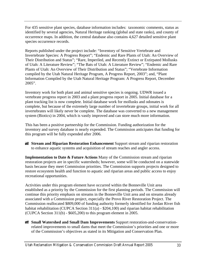For 435 sensitive plant species, database information includes: taxonomic comments, status as identified by several agencies, Natural Heritage ranking (global and state ranks), and county of occurrence maps. In addition, the central database also contains 4,627 detailed sensitive plant species occurrence records.

Reports published under the project include: "Inventory of Sensitive Vertebrate and Invertebrate Species: A Progress Report"; "Endemic and Rare Plants of Utah: An Overview of Their Distribution and Status"; "Rare, Imperiled, and Recently Extinct or Extirpated Mollusks of Utah: A Literature Review"; "The Bats of Utah: A Literature Review"; "Endemic and Rare Plants of Utah: An Overview of Their Distribution and Status"; "Vertebrate Information compiled by the Utah Natural Heritage Program, A Progress Report, 2003"; and, "Plant Information Compiled by the Utah Natural Heritage Program: A Progress Report, December 2005".

Inventory work for both plant and animal sensitive species is ongoing. UDWR issued a vertebrate progress report in 2003 and a plant progress report in 2005. Initial database for a plant tracking list is now complete. Initial database work for mollusks and odonates is complete, but because of the extremely large number of invertebrate groups, initial work for all invertebrates will likely never be complete. The database was converted to a new management system (Biotics) in 2004, which is vastly improved and can store much more information.

This has been a positive partnership for the Commission. Funding authorization for the inventory and survey database is nearly expended. The Commission anticipates that funding for this program will be fully expended after 2006.

**Stream and Riparian Restoration Enhancement** Support stream and riparian restoration to enhance aquatic systems and acquisition of stream reaches and angler access.

**Implementation to Date & Future Actions** Many of the Commission stream and riparian restoration projects are in specific watersheds; however, some will be conducted on a statewide basis because they meet Commission priorities. The Commission supports projects designed to restore ecosystem health and function to aquatic and riparian areas and public access to enjoy recreational opportunities.

Activities under this program element have occurred within the Bonneville Unit area established as a priority by the Commission for the first planning periods. The Commission will continue this priority emphasis on streams in the Bonneville Unit area and on streams already associated with a Commission project, especially the Provo River Restoration Project. The Commission reallocated \$809,000 of funding authority formerly identified for Jordan River fish habitat rehabilitation (CUPCA Section 311(a) - \$204,100) and riparian habitat rehabilitation (CUPCA Section 311(b) - \$605,200) to this program element in 2005.

**Small Watershed and Small Dam Improvements** Support restoration-and-conservationrelated improvements to small dams that meet the Commission's priorities and one or more of the Commission's objectives as stated in its Mitigation and Conservation Plan.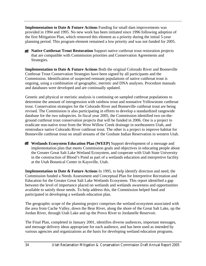**Implementation to Date & Future Actions** Funding for small dam improvements was provided in 1994 and 1995. No new work has been initiated since 1996 following adoption of the first Mitigation Plan, which removed this element as a priority during the initial 5-year planning period. This program element remained a low priority and was not funded for 2005.

**Native Cutthroat Trout Restoration** Support native cutthroat trout restoration projects that are compatible with Commission priorities and Conservation Agreements and Strategies.

**Implementation to Date & Future Actions** Both the original Colorado River and Bonneville Cutthroat Trout Conservation Strategies have been signed by all participants and the Commission. Identification of suspected remnant populations of native cutthroat trout is ongoing, using a combination of geographic, meristic and DNA analyses. Procedure manuals and databases were developed and are continually updated.

Genetic and physical or meristic analysis is continuing on sampled cutthroat populations to determine the amount of introgression with rainbow trout and nonnative Yellowstone cutthroat trout. Conservation strategies for the Colorado River and Bonneville cutthroat trout are being revised. The Commission is also participating in efforts to develop a standardized rangewide database for the two subspecies. In fiscal year 2005, the Commission identified two on-theground cutthroat trout conservation projects that will be funded in 2006. One is a project to eradicate non-native trout from the West Willow Creek drainage in northeastern Utah, and reintroduce native Colorado River cutthroat trout. The other is a project to improve habitat for Bonneville cutthroat trout on small streams of the Goshute Indian Reservation in western Utah.

**Wetlands Ecosystem Education Plan (WEEP)** Support development of a message and implementation plan that meets Commission goals and objectives in educating people about the Greater Great Salt Lake Wetland Ecosystem, and cooperate with Utah State University in the construction of Blood's Pond as part of a wetlands education and interpretive facility at the Utah Botanical Center in Kaysville, Utah.

**Implementation to Date & Future Actions** In 1995, to help identify direction and need, the Commission funded a Needs Assessment and Conceptual Plan for Interpretive Recreation and Education for the Greater Great Salt Lake Wetlands Ecosystem. This report identified a gap between the level of importance placed on wetlands and wetlands awareness and opportunities available to satisfy those needs. To help address this, the Commission helped fund and participated in developing a wetlands education plan.

The geographic scope of the planning project comprises the wetland ecosystem associated with the area from Cache Valley, down the Bear River, along the shore of the Great Salt Lake, up the Jordan River, through Utah Lake and up the Provo River to Jordanelle Reservoir.

The Final Plan, completed in January 2001, identifies diverse audiences, important messages, and message delivery ideas appropriate for each audience, and has been used as intended by various agencies and organizations as the basis for developing wetland education programs.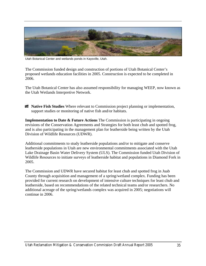

Utah Botanical Center and wetlands ponds in Kaysville, Utah.

The Commission funded design and construction of portions of Utah Botanical Center's proposed wetlands education facilities in 2005. Construction is expected to be completed in 2006.

The Utah Botanical Center has also assumed responsibility for managing WEEP, now known as the Utah Wetlands Interpretive Network.

**Native Fish Studies** Where relevant to Commission project planning or implementation, support studies or monitoring of native fish and/or habitats.

**Implementation to Date & Future Actions** The Commission is participating in ongoing revisions of the Conservation Agreements and Strategies for both least chub and spotted frog, and is also participating in the management plan for leatherside being written by the Utah Division of Wildlife Resources (UDWR).

Additional commitments to study leatherside populations and/or to mitigate and conserve leatherside populations in Utah are new environmental commitments associated with the Utah Lake Drainage Basin Water Delivery System (ULS). The Commission funded Utah Division of Wildlife Resources to initiate surveys of leatherside habitat and populations in Diamond Fork in 2005.

The Commission and UDWR have secured habitat for least chub and spotted frog in Juab County through acquisition and management of a spring/wetland complex. Funding has been provided for current research on development of intensive culture techniques for least chub and leatherside, based on recommendations of the related technical teams and/or researchers. No additional acreage of the spring/wetlands complex was acquired in 2005; negotiations will continue in 2006.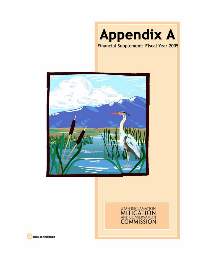





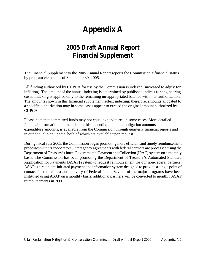## **Appendix A**

## **2005 Draft Annual Report Financial Supplement**

The Financial Supplement to the 2005 Annual Report reports the Commission's financial status by program element as of September 30, 2005.

All funding authorized by CUPCA for use by the Commission is indexed (increased to adjust for inflation). The amount of the annual indexing is determined by published indices for engineering costs. Indexing is applied only to the remaining un-appropriated balance within an authorization. The amounts shown in this financial supplement reflect indexing; therefore, amounts allocated to a specific authorization may in some cases appear to exceed the original amount authorized by CUPCA.

Please note that committed funds may not equal expenditures in some cases. More detailed financial information not included in this appendix, including obligation amounts and expenditure amounts, is available from the Commission through quarterly financial reports and in our annual plan update, both of which are available upon request.

During fiscal year 2005, the Commission began promoting more efficient and timely reimbursement processes with its cooperators. Interagency agreements with federal partners are processed using the Department of Treasury's Intra-Governmental Payment and Collection [IPAC] system on a monthly basis. The Commission has been promoting the Department of Treasury's Automated Standard Application for Payments [ASAP] system to request reimbursement for our non-federal partners. ASAP is a recipient-initiated payment and information system designed to provide a single point of contact for the request and delivery of Federal funds. Several of the major programs have been instituted using ASAP on a monthly basis; additional partners will be converted to monthly ASAP reimbursements in 2006.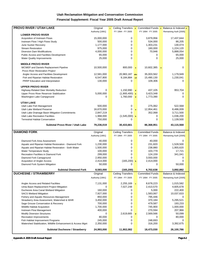### **Utah Reclamation Mitigation and Conservation Commission Financial Supplement: Fiscal Year 2005 Draft Annual Report**

| <b>PROVO RIVER / UTAH LAKE</b>                                                                   | Original             | $\mathbf{1}$ | Ceiling Transfers 2      |              | Committed Funds 3      |              | Balance & Indexed 4            |
|--------------------------------------------------------------------------------------------------|----------------------|--------------|--------------------------|--------------|------------------------|--------------|--------------------------------|
|                                                                                                  | Authority [1991]     |              | FY 1994 - FY 2005        |              | FY 1994 - FY 2005      |              | Remaining Auth [2005]          |
| <b>LOWER PROVO RIVER</b>                                                                         |                      |              |                          |              |                        |              |                                |
| Acquisition of Instream Flows                                                                    | 15,000,000           |              | 0                        |              | 3,879,956              |              | 17,437,644                     |
| Instream Flow / High Flows Study                                                                 | 500,000              |              | 0                        |              | 534,000                |              | 86,205                         |
| June Sucker Recovery                                                                             | 1,177,000            |              | 0                        |              | 1,303,231              |              | 130,074                        |
| <b>Stream Restoration</b>                                                                        | 975,000              |              | 0                        |              | 160,000                |              | 1,224,120                      |
| <b>Diversion Dam Modifications</b>                                                               | 4,000,000            |              | 0                        |              | 70,946                 |              | 5,888,054                      |
| Public Access and Facilities Development                                                         | 65,000               |              | 0                        |              | 0                      |              | 65,000                         |
| <b>Water Quality Improvements</b>                                                                | 25,000               |              | 0                        |              | $\Omega$               |              | 25,000                         |
|                                                                                                  |                      |              |                          |              |                        |              |                                |
| <b>MIDDLE PROVO RIVER</b>                                                                        |                      |              |                          |              |                        |              |                                |
| <b>WCWEP</b> and Daniels Replacement Pipeline                                                    | 10,500,000           |              | 800,000                  | $\mathbf{a}$ | 10,602,385             | $\mathbf{a}$ | $\mathbf 0$                    |
| Provo River Restoration Project                                                                  |                      |              |                          |              |                        |              |                                |
| Angler Access and Facilities Development                                                         | 12,581,000           |              | 20,983,187               | abc          | 35,003,562             |              | 1,179,949                      |
| Fish and Riparian Habitat Restoration                                                            | 6,547,800            |              | 9,184,884                | cd           | 15,490,130             |              | 1,230,041                      |
| PRRP Education and Interpretation                                                                | 130,000              |              | 0                        |              | 109,306                |              | 0                              |
| <b>UPPER PROVO RIVER</b>                                                                         |                      |              |                          |              |                        |              |                                |
| Highway-Related Deer Mortality Reduction                                                         | $\Omega$             |              | 1,150,990                | $\mathbf d$  | 437,105                |              | 953,704                        |
| Upper Provo River Reservoir Stabilization                                                        | 5,000,000            |              | (1,900,400)              | $\mathbf b$  | 3,423,348              |              | 0                              |
| Washington Lake Campground                                                                       | $\Omega$             |              | 1,760,000                | $\mathbf d$  | 1,773,390              |              | 0                              |
|                                                                                                  |                      |              |                          |              |                        |              |                                |
| <b>UTAH LAKE</b>                                                                                 |                      |              |                          |              |                        |              |                                |
| Utah Lake Fish Management                                                                        | 500.000              |              | 0                        |              | 275,062                |              | 522,568                        |
| Utah Lake Wetland Preserve                                                                       | 16,670,000           |              | 0                        | $\mathbf{a}$ | 12,954,461             |              | 8,486,009                      |
| Utah Lake Drainage Basin Mitigation Commitments                                                  | 2,847,219            |              | 0                        |              | 352,068                |              | 3,711,500                      |
| Utah Lake Recreation Facilities                                                                  | 1,968,000            |              | $(1,545,000)$ b          |              | 0                      |              | 1,036,200                      |
| <b>Terrestrial Habitat Conservation</b>                                                          | 750,000              |              | 0                        |              | $\Omega$               |              | 1,139,500                      |
|                                                                                                  |                      |              |                          |              |                        |              |                                |
| <b>Subtotal Provo River / Utah Lake</b>                                                          | 79,236,019           |              | 30,433,661               |              | 86,368,951             |              | 43,115,568                     |
|                                                                                                  |                      |              |                          |              |                        |              |                                |
|                                                                                                  |                      |              |                          |              |                        |              |                                |
| <b>DIAMOND FORK</b>                                                                              | Original             |              | <b>Ceiling Transfers</b> |              | <b>Committed Funds</b> |              | Balance & Indexed              |
|                                                                                                  | Authority [1991]     |              | FY 1994 - FY 2005        |              | FY 1994 - FY 2005      |              | Remaining Auth [2005]          |
| Diamond Fork Area Assessment                                                                     | 40,000               |              | 0                        |              | 40,000                 |              | 0                              |
| Aquatic and Riparian Habitat Restoration - Diamond Fork                                          | 1,230,000            |              | 0                        |              | 231,820                |              | 1,528,500                      |
| Aquatic and Riparian Habitat Restoration - Sixth Water                                           | 1,500,000            |              | 0                        |              | 238,880                |              | 1,955,620                      |
| Water Temperature Study                                                                          | 100,000              |              | 0                        |              | 103,779                |              | 17,721                         |
| Recreation Facilities in Diamond Fork                                                            | 299,000              |              | 0                        |              | 124,159                |              | 341,041                        |
| Diamond Fork Campground                                                                          | 2,950,000            |              | $\Omega$                 |              | 3,550,000              |              | $\mathbf 0$                    |
| Acquisition of Angler Access                                                                     | 2,414,000            |              | $(165, 200)$ b           |              | 2,414,000              |              | $\Omega$                       |
| Diamond Fork System Mitigation                                                                   | 50,000               |              | 0                        |              | 0                      |              | 50,000                         |
|                                                                                                  |                      |              |                          |              |                        |              |                                |
| <b>Subtotal Diamond Fork</b>                                                                     | 8,583,000            |              | (165, 200)               |              | 6,702,638              |              | 3,892,882<br>Balance & Indexed |
| <b>DUCHESNE / STRAWBERRY</b>                                                                     | Original             |              | <b>Ceiling Transfers</b> |              | <b>Committed Funds</b> |              |                                |
|                                                                                                  | Authority [1991]     |              | FY 1994 - FY 2005        |              | FY 1994 - FY 2005      |              | Remaining Auth [2005]          |
| Angler Access and Related Facilities                                                             | 7,131,000            |              | 2,255,169                | $\mathbf{c}$ | 8,678,223              |              | 1,015,582                      |
| Uinta Basin Replacement Project Mitigation                                                       | 0                    |              | 7,027,248                |              | 2,410,570              |              | 4,605,678                      |
| Duchesne Area Canal Wetland Mitigation                                                           | 160,000              |              | 0                        |              | 5,000                  |              | 222,400                        |
| <b>SACS Wetland Mitigation</b>                                                                   | 7,927,000            |              | 0                        |              |                        |              | 10,037,633                     |
|                                                                                                  | 850,000              |              | 0                        |              | 1,583,067<br>795,446   |              | 0                              |
| Fishery and Aquatic Resources Management                                                         | 3,450,000            |              | 0                        |              | 370,184                |              |                                |
| Strawberry Area Assessment, Watershed & WHR<br>Sage Grouse Conservation & Recovery               | 700,000              |              | 0                        |              | 479,587                |              | 5,295,521<br>193,233           |
|                                                                                                  |                      |              | 0                        |              |                        |              |                                |
| Wildlife Habitat Acquisition                                                                     | 1,700,000            |              | 0                        |              | 745,900                |              | 1,000,000                      |
| Instream Flow Management<br><b>Modify Diversion Structures</b>                                   | 400,000<br>0         |              |                          | $\mathbf d$  | 270,594                |              | 207,966                        |
|                                                                                                  |                      |              | 2,619,665                |              | 2,569,566<br>0         |              | 50,099                         |
| Recreation Improvements                                                                          | 80,000               |              | 0                        |              |                        |              | 80,000<br>0                    |
| Fish Habitat Improvement Programs<br>Watershed Stabilization, Wildlife Enhancement & Access Mgnt | 245,000<br>2,350,000 |              | 0<br>0                   |              | 248,693<br>316,200     |              | 3,392,675                      |

 **Appendix A 2005 Draft Annual Report Page A-2**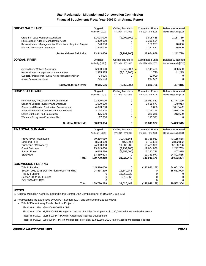### **Utah Reclamation Mitigation and Conservation Commission Financial Supplement: Fiscal Year 2005 Draft Annual Report**

| <b>GREAT SALT LAKE</b>                                     |                  |                          |             |                        |                       |
|------------------------------------------------------------|------------------|--------------------------|-------------|------------------------|-----------------------|
|                                                            | Original         | <b>Ceiling Transfers</b> |             | <b>Committed Funds</b> | Balance & Indexed     |
|                                                            | Authority [1991] | FY 1994 - FY 2005        |             | FY 1994 - FY 2005      | Remaining Auth [2005] |
| Great Salt Lake Wetlands Acquisition                       | 11,028,000       | $(2,292,100)$ bc         |             | 9,806,488              | 1,187,739             |
| Restoration of Agency Management Areas                     | 1,300,000        | 0                        |             | 1,360,684              | $\Omega$              |
|                                                            |                  |                          |             |                        |                       |
| Restoration and Management of Commission Acquired Properti | 240,000          | 0<br>$\Omega$            |             | 180,207                | 40,000                |
| <b>Wetland Preservation Strategies</b>                     | 1,375,000        |                          |             | 1,327,477              | 15,000                |
| <b>Subtotal Great Salt Lake</b>                            | 13,943,000       | (2, 292, 100)            |             | 12,674,856             | 1,242,739             |
| <b>JORDAN RIVER</b>                                        | Original         | <b>Ceiling Transfers</b> |             | <b>Committed Funds</b> | Balance & Indexed     |
|                                                            | Authority [1991] | FY 1994 - FY 2005        |             | FY 1994 - FY 2005      | Remaining Auth [2005] |
|                                                            |                  |                          |             |                        |                       |
| Jordan River Wetland Acquisition                           | 6,980,000        | $(5,342,900)$ bc         |             | 3,141,435              | 366,600               |
| Restoration & Management of Natural Areas                  | 2,385,985        | $(3,515,100)$ c          |             | 1,770                  | 41,215                |
| Support Jordan River Natural Areas Management Plan         | 24.015           | 0                        |             | 22.000                 | 0                     |
| Albion Basin Acquisitions                                  | 225,596          | $\mathbf 0$              |             | 217,521                | $\Omega$              |
| <b>Subtotal Jordan River</b>                               | 9,615,596        | (8,858,000)              |             | 3,382,726              | 407,815               |
| <b>CRSP/STATEWIDE</b>                                      | Original         | <b>Ceiling Transfers</b> |             | <b>Committed Funds</b> | Balance & Indexed     |
|                                                            | Authority [1991] | FY 1994 - FY 2005        |             | FY 1994 - FY 2005      | Remaining Auth [2005] |
|                                                            |                  |                          |             |                        |                       |
| Fish Hatchery Restoration and Construction                 | 22,800,000       | $\mathbf 0$              |             | 16,032,831             | 12,777,299            |
| Sensitive Species Inventory and Database                   | 1,500,000        | $\mathbf 0$              |             | 1,615,677              | 149,913               |
| Stream and Riparian Restoration Enhancement                | 4,693,200        | $\mathbf 0$              |             | 3,000                  | 7,687,422             |
| Small Watershed and Small Dam Improvements                 | 3,774,404        | $\mathbf 0$              |             | 1,216,154              | 3,974,200             |
| Native Cutthroat Trout Restoration                         | 475.000          | $\Omega$                 |             | 360.345                | 213,680               |
| Wetlands Ecosystem Education Plan                          | 117,000          | $\mathbf 0$              | $\mathbf b$ | 115,971                | $\Omega$              |
| <b>Subtotal Statewide</b>                                  | 33,359,604       | $\bf{0}$                 |             | 19,343,977             | 24,802,515            |
|                                                            |                  |                          |             |                        |                       |
| <b>FINANCIAL SUMMARY</b>                                   | Original         | <b>Ceiling Transfers</b> |             | <b>Committed Funds</b> | Balance & Indexed     |
|                                                            | Authority [1991] | FY 1994 - FY 2005        |             | FY 1994 - FY 2005      | Remaining Auth [2005] |
| Provo River / Utah Lake                                    | 79,236,019       | 30,433,661               |             | 86,368,951             | 43,115,568            |
| <b>Diamond Fork</b>                                        | 8,583,000        | (165, 200)               |             | 6,702,638              | 3,892,882             |
| Duchesne / Strawberry                                      | 24,993,000       | 11,902,082               |             | 18,473,030             | 26,100,786            |
| <b>Great Salt Lake</b>                                     | 13,943,000       | (2,292,100)              |             | 12,674,856             | 1,242,739             |
| Jordan River                                               | 9,615,596        | (8,858,000)              |             | 3,382,726              | 407,815               |
| Statewide                                                  | 33,359,604       | $\Omega$                 |             | 19,343,977             | 24,802,515            |
| <b>Total</b>                                               | 169,730,219      | 31,020,443               |             | 146,946,178            | 99,562,304            |
|                                                            |                  |                          |             |                        |                       |
| <b>COMMISSION FUNDING</b>                                  |                  |                          |             |                        |                       |
| <b>Title III Funding</b>                                   | 145,316,000      | 0                        |             | (146, 946, 178)        | 84,051,304            |
| Section 201, 1988 Definite Plan Report Funding             | 24,414,219       | 11,540,748               |             | 0                      | 15,511,000            |
| Title IV Funding                                           | 0                | 16,860,030               |             | 0                      | 0                     |
| Section 203(a)(5) Funding                                  | 0                | 2,619,665                |             | 0                      | 0                     |
| DOI: WCWEP/DRP                                             | $\Omega$         | $\Omega$                 |             | $\Omega$               | $\Omega$              |
| <b>Total</b>                                               | 169,730,219      | 31,020,443               |             | (146, 946, 178)        | 99,562,304            |

#### **NOTES:**

1 Original Mitigation Authority is found in the Central Utah Completion Act of 1992 [P.L 102 575]

2 Reallocations are authorized by CUPCA Section 301(f) and are summarized as follows:

**<sup>a</sup>** Title IV Discretionary Funds Used on Projects:

Fiscal Year 1999: \$800,000 WCWEP / DRP

Fiscal Year 2000: \$3,856,000 PRRP Angler Access and Facilities Development; \$1,180,000 Utah Lake Wetland Preserve

Fiscal Year 2001: \$5,653,100 PRRP Angler Access and Facilities Development

Fiscal Year 2002: \$350,000 PRRP Fish and Habitat Restoration; \$1,922,600 SACS Angler Access and Related Facilities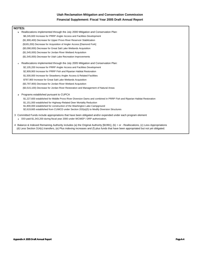#### **Utah Reclamation Mitigation and Conservation Commission Financial Supplement: Fiscal Year 2005 Draft Annual Report**

#### **NOTES:**

- **b** Reallocations implemented through the July 2000 Mitigation and Conservation Plan: \$8,245,600 Increase for PRRP Angler Access and Facilities Development (\$1,900,400) Decrease for Upper Provo River Reservoir Stabilization (\$165,200) Decrease for Acquisition of Angler Access [Diamond Fork] (\$3,090,000) Decrease for Great Salt Lake Wetlands Acquisition (\$1,545,000) Decrease for Jordan River Wetland Acquisition
	- (\$1,545,000) Decrease for Utah Lake Recreation Improvements
- **<sup>c</sup>** Reallocations implemented through the July 2005 Mitigation and Conservation Plan:
	- \$2,105,200 Increase for PRRP Angler Access and Facilities Development \$2,909,900 Increase for PRRP Fish and Riparian Habitat Restoration
	- \$1,500,000 Increase for Strawberry Angler Access & Related Facilities
	- \$797,900 Increase for Great Salt Lake Wetlands Acquisition
	- (\$3,797,900) Decrease for Jordan River Wetland Acquisition
	- (\$3,515,100) Decrease for Jordan River Restoration and Management of Natural Areas
- **<sup>d</sup>** Programs established pursuant to CUPCA
	- \$1,227,600 established for Middle Provo River Diversion Dams and combined in PRRP Fish and Riparian Habitat Restoration
	- \$1,151,000 established for Highway-Related Deer Mortality Reduction
	- \$1,800,000 established for construction of the Washington Lake Campground
	- \$2,619,665 established from CUWCD under Section 203(a)(5) to Modify Diversion Structures
- 3 Committed Funds include appropriations that have been obligated and/or expended under each program element
- **a** DOI paid \$1,343,200 during fiscal year 2000 under WCWEP / DRP authorization.
- 4 Balance & Indexed Remaining Authority includes (a) the Original Authority [\$1991], (b) + or Reallocations, (c) Less Appropriations (d) Less Section 314(c) transfers, (e) Plus indexing increases and (f) plus funds that have been appropriated but not yet obligated.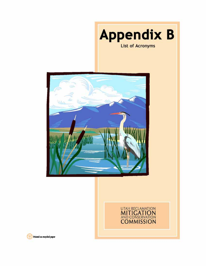





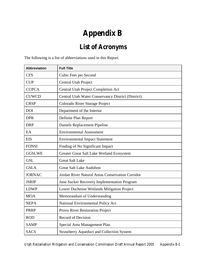## **Appendix B**

## **List of Acronyms**

The following is a list of abbreviations used in this Report.

| <b>Abbreviation</b> | <b>Full Title</b>                                  |
|---------------------|----------------------------------------------------|
| <b>CFS</b>          | Cubic Feet per Second                              |
| <b>CUP</b>          | <b>Central Utah Project</b>                        |
| <b>CUPCA</b>        | Central Utah Project Completion Act                |
| <b>CUWCD</b>        | Central Utah Water Conservancy District (District) |
| <b>CRSP</b>         | Colorado River Storage Project                     |
| <b>DOI</b>          | Department of the Interior                         |
| <b>DPR</b>          | Definite Plan Report                               |
| <b>DRP</b>          | Daniels Replacement Pipeline                       |
| EA                  | <b>Environmental Assessment</b>                    |
| <b>EIS</b>          | <b>Environmental Impact Statement</b>              |
| <b>FONSI</b>        | Finding of No Significant Impact                   |
| <b>GGSLWE</b>       | Greater Great Salt Lake Wetland Ecosystem          |
| <b>GSL</b>          | <b>Great Salt Lake</b>                             |
| <b>GSLA</b>         | <b>Great Salt Lake Audubon</b>                     |
| <b>JORNAC</b>       | Jordan River Natural Areas Conservation Corridor   |
| <b>JSRIP</b>        | June Sucker Recovery Implementation Program        |
| <b>LDWP</b>         | Lower Duchesne Wetlands Mitigation Project         |
| <b>MOA</b>          | Memorandum of Understanding                        |
| <b>NEPA</b>         | National Environmental Policy Act                  |
| <b>PRRP</b>         | Provo River Restoration Project                    |
| <b>ROD</b>          | <b>Record of Decision</b>                          |
| <b>SAMP</b>         | Special Area Management Plan                       |
| <b>SACS</b>         | <b>Strawberry Aqueduct and Collection System</b>   |